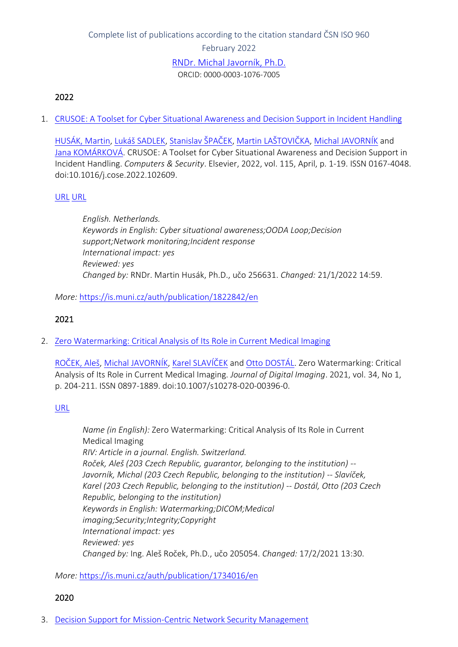# Complete list of publications according to the citation standard ČSN ISO 960 February 2022 [RNDr. Michal Javorník, P](https://www.muni.cz/en/people/1111-michal-javornik)h.D. ORCID: 0000-0003-1076-7005

#### 2022

1. [CRUSOE: A Toolset for Cyber Situational Awareness and Decision Support in Incident Handling](https://is.muni.cz/auth/publication/1822842/en?lang=en)

[HUSÁK, Martin](https://is.muni.cz/auth/person/256631?lang=en), [Lukáš SADLEK](https://is.muni.cz/auth/person/445581?lang=en), [Stanislav ŠPAČEK](https://is.muni.cz/auth/person/324802?lang=en), [Martin LAŠTOVIČKA](https://is.muni.cz/auth/person/395855?lang=en), [Michal JAVORNÍK](https://is.muni.cz/auth/person/1111?lang=en) and [Jana KOMÁRKOVÁ](https://is.muni.cz/auth/person/251365?lang=en). CRUSOE: A Toolset for Cyber Situational Awareness and Decision Support in Incident Handling. *Computers & Security*. Elsevier, 2022, vol. 115, April, p. 1-19. ISSN 0167-4048. doi:10.1016/j.cose.2022.102609.

#### [URL](https://www.sciencedirect.com/science/article/pii/S0167404822000086) [URL](https://doi.org/10.1016/j.cose.2022.102609)

*English. Netherlands. Keywords in English: Cyber situational awareness;OODA Loop;Decision support;Network monitoring;Incident response International impact: yes Reviewed: yes Changed by:* RNDr. Martin Husák, Ph.D., učo 256631. *Changed:* 21/1/2022 14:59.

#### *More:* [https://is.muni.cz/auth/publication/1822842/en](https://is.muni.cz/auth/publication/1822842/en/CRUSOE-A-Toolset-for-Cyber-Situational-Awareness-and-Decision-Support-in-Incident-Handling/Husak-Sadlek-Spacek-Lastovicka?lang=en)

#### 2021

2. [Zero Watermarking: Critical Analysis of Its Role in Current Medical Imaging](https://is.muni.cz/auth/publication/1734016/en?lang=en)

[ROČEK, Aleš](https://is.muni.cz/auth/person/205054?lang=en), [Michal JAVORNÍK](https://is.muni.cz/auth/person/1111?lang=en), [Karel SLAVÍČEK](https://is.muni.cz/auth/person/1158?lang=en) and [Otto DOSTÁL](https://is.muni.cz/auth/person/2535?lang=en). Zero Watermarking: Critical Analysis of Its Role in Current Medical Imaging. *Journal of Digital Imaging*. 2021, vol. 34, No 1, p. 204-211. ISSN 0897-1889. doi:10.1007/s10278-020-00396-0.

#### [URL](https://link.springer.com/article/10.1007/s10278-020-00396-0)

*Name (in English):* Zero Watermarking: Critical Analysis of Its Role in Current Medical Imaging *RIV: Article in a journal. English. Switzerland. Roček, Aleš (203 Czech Republic, guarantor, belonging to the institution) -- Javorník, Michal (203 Czech Republic, belonging to the institution) -- Slavíček, Karel (203 Czech Republic, belonging to the institution) -- Dostál, Otto (203 Czech Republic, belonging to the institution) Keywords in English: Watermarking;DICOM;Medical imaging;Security;Integrity;Copyright International impact: yes Reviewed: yes Changed by:* Ing. Aleš Roček, Ph.D., učo 205054. *Changed:* 17/2/2021 13:30.

*More:* [https://is.muni.cz/auth/publication/1734016/en](https://is.muni.cz/auth/publication/1734016/en/Zero-Watermarking-Critical-Analysis-of-Its-Role-in-Current-Medical-Imaging/Rocek-Javornik-Slavicek-Dostal?lang=en)

#### 2020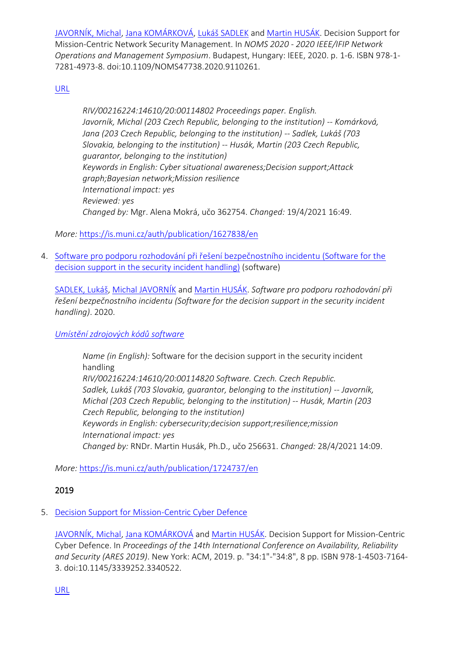[JAVORNÍK, Michal](https://is.muni.cz/auth/person/1111?lang=en), [Jana KOMÁRKOVÁ](https://is.muni.cz/auth/person/251365?lang=en), [Lukáš SADLEK](https://is.muni.cz/auth/person/445581?lang=en) and [Martin HUSÁK](https://is.muni.cz/auth/person/256631?lang=en). Decision Support for Mission-Centric Network Security Management. In *NOMS 2020 - 2020 IEEE/IFIP Network Operations and Management Symposium*. Budapest, Hungary: IEEE, 2020. p. 1-6. ISBN 978-1- 7281-4973-8. doi:10.1109/NOMS47738.2020.9110261.

[URL](https://ieeexplore.ieee.org/document/9110261)

*RIV/00216224:14610/20:00114802 Proceedings paper. English. Javorník, Michal (203 Czech Republic, belonging to the institution) -- Komárková, Jana (203 Czech Republic, belonging to the institution) -- Sadlek, Lukáš (703 Slovakia, belonging to the institution) -- Husák, Martin (203 Czech Republic, guarantor, belonging to the institution) Keywords in English: Cyber situational awareness;Decision support;Attack graph;Bayesian network;Mission resilience International impact: yes Reviewed: yes Changed by:* Mgr. Alena Mokrá, učo 362754. *Changed:* 19/4/2021 16:49.

*More:* [https://is.muni.cz/auth/publication/1627838/en](https://is.muni.cz/auth/publication/1627838/en/Decision-Support-for-Mission-Centric-Network-Security-Management/Javornik-Komarkova-Sadlek-Husak?lang=en)

4. [Software pro podporu rozhodování při řešení bezpečnostního incidentu \(Software for the](https://is.muni.cz/auth/publication/1724737/en?lang=en)  [decision support in the security incident handling\)](https://is.muni.cz/auth/publication/1724737/en?lang=en) (software)

[SADLEK, Lukáš](https://is.muni.cz/auth/person/445581?lang=en), [Michal JAVORNÍK](https://is.muni.cz/auth/person/1111?lang=en) and [Martin HUSÁK](https://is.muni.cz/auth/person/256631?lang=en). *Software pro podporu rozhodování při řešení bezpečnostního incidentu (Software for the decision support in the security incident handling)*. 2020.

## *[Umístění zdrojových kódů software](https://is.muni.cz/publication/1724737/crusoe_decide.zip)*

*Name (in English):* Software for the decision support in the security incident handling *RIV/00216224:14610/20:00114820 Software. Czech. Czech Republic. Sadlek, Lukáš (703 Slovakia, guarantor, belonging to the institution) -- Javorník, Michal (203 Czech Republic, belonging to the institution) -- Husák, Martin (203 Czech Republic, belonging to the institution) Keywords in English: cybersecurity;decision support;resilience;mission International impact: yes Changed by:* RNDr. Martin Husák, Ph.D., učo 256631. *Changed:* 28/4/2021 14:09.

*More:* [https://is.muni.cz/auth/publication/1724737/en](https://is.muni.cz/auth/publication/1724737/en/Software-pro-podporu-rozhodovani-pri-reseni-bezpecnostniho-incidentu/Sadlek-Javornik-Husak?lang=en)

## 2019

# 5. [Decision Support for Mission-Centric Cyber Defence](https://is.muni.cz/auth/publication/1542616/en?lang=en)

[JAVORNÍK, Michal](https://is.muni.cz/auth/person/1111?lang=en), [Jana KOM](https://is.muni.cz/auth/person/251365?lang=en)ÁRKOVÁ and [Martin HUSÁK](https://is.muni.cz/auth/person/256631?lang=en). Decision Support for Mission-Centric Cyber Defence. In *Proceedings of the 14th International Conference on Availability, Reliability and Security (ARES 2019)*. New York: ACM, 2019. p. "34:1"-"34:8", 8 pp. ISBN 978-1-4503-7164- 3. doi:10.1145/3339252.3340522.

[URL](https://dl.acm.org/doi/10.1145/3339252.3340522)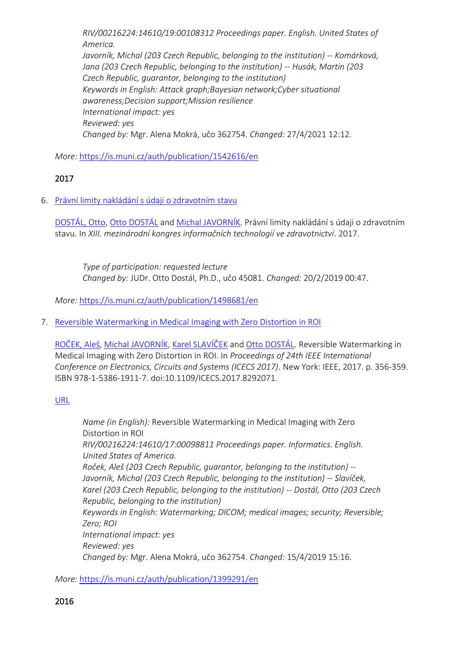*RIV/00216224:14610/19:00108312 Proceedings paper. English. United States of America. Javorník, Michal (203 Czech Republic, belonging to the institution) -- Komárková, Jana (203 Czech Republic, belonging to the institution) -- Husák, Martin (203 Czech Republic, guarantor, belonging to the institution) Keywords in English: Attack graph;Bayesian network;Cyber situational awareness;Decision support;Mission resilience International impact: yes Reviewed: yes Changed by:* Mgr. Alena Mokrá, učo 362754. *Changed:* 27/4/2021 12:12.

*More:* [https://is.muni.cz/auth/publication/1542616/en](https://is.muni.cz/auth/publication/1542616/en/Decision-Support-for-Mission-Centric-Cyber-Defence/Javornik-Komarkova-Husak?lang=en)

### 2017

6. [Právní limity nakládání s údaji o zdravotním stavu](https://is.muni.cz/auth/publication/1498681/en?lang=en)

[DOSTÁL, Otto](https://is.muni.cz/auth/person/45081?lang=en), [Otto DOSTÁL](https://is.muni.cz/auth/person/2535?lang=en) and [Michal JAVORNÍK.](https://is.muni.cz/auth/person/1111?lang=en) Právní limity nakládání s údaji o zdravotním stavu. In *XIII. mezinárodní kongres informačních technologií ve zdravotnictví*. 2017.

*Type of participation: requested lecture Changed by:* JUDr. Otto Dostál, Ph.D., učo 45081. *Changed:* 20/2/2019 00:47.

*More:* [https://is.muni.cz/auth/publication/1498681/en](https://is.muni.cz/auth/publication/1498681/en/Pravni-limity-nakladani-s-udaji-o-zdravotnim-stavu/Dostal-Dostal-Javornik?lang=en)

7. [Reversible Watermarking in Medical Imaging with Zero Distortion in ROI](https://is.muni.cz/auth/publication/1399291/en?lang=en)

[ROČEK, Aleš](https://is.muni.cz/auth/person/205054?lang=en), [Michal JAVORNÍK](https://is.muni.cz/auth/person/1111?lang=en), [Karel SLAVÍČEK](https://is.muni.cz/auth/person/1158?lang=en) and [Otto DOSTÁL](https://is.muni.cz/auth/person/2535?lang=en). Reversible Watermarking in Medical Imaging with Zero Distortion in ROI. In *Proceedings of 24th IEEE International Conference on Electronics, Circuits and Systems (ICECS 2017)*. New York: IEEE, 2017. p. 356-359. ISBN 978-1-5386-1911-7. doi:10.1109/ICECS.2017.8292071.

### [URL](https://ieeexplore.ieee.org/document/8292071/)

*Name (in English):* Reversible Watermarking in Medical Imaging with Zero Distortion in ROI *RIV/00216224:14610/17:00098811 Proceedings paper. Informatics. English. United States of America. Roček, Aleš (203 Czech Republic, guarantor, belonging to the institution) -- Javorník, Michal (203 Czech Republic, belonging to the institution) -- Slavíček, Karel (203 Czech Republic, belonging to the institution) -- Dostál, Otto (203 Czech Republic, belonging to the institution) Keywords in English: Watermarking; DICOM; medical images; security; Reversible; Zero; ROI International impact: yes Reviewed: yes Changed by:* Mgr. Alena Mokrá, učo 362754. *Changed:* 15/4/2019 15:16.

*More:* [https://is.muni.cz/auth/publication/1399291/en](https://is.muni.cz/auth/publication/1399291/en/Reversible-Watermarking-in-Medical-Imaging-with-Zero-Distortion-in-ROI/Rocek-Javornik-Slavicek-Dostal?lang=en)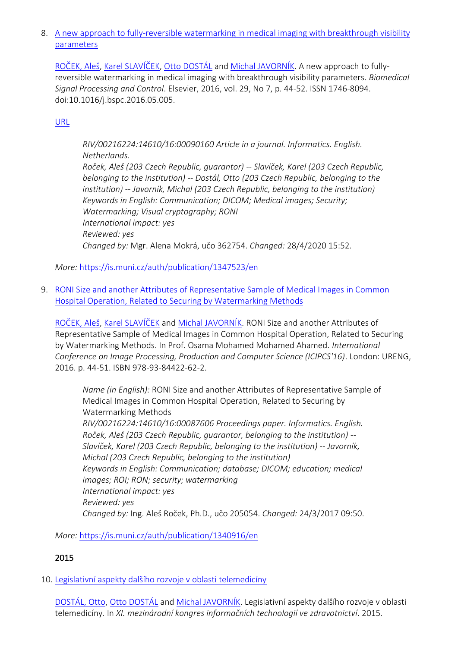8. [A new approach to fully-reversible watermarking in medical imaging with breakthrough visibility](https://is.muni.cz/auth/publication/1347523/en?lang=en)  [parameters](https://is.muni.cz/auth/publication/1347523/en?lang=en)

[ROČEK, Aleš](https://is.muni.cz/auth/person/205054?lang=en), Karel S[LAVÍČEK](https://is.muni.cz/auth/person/1158?lang=en), [Otto DOSTÁL](https://is.muni.cz/auth/person/2535?lang=en) and [Michal JAVORNÍK](https://is.muni.cz/auth/person/1111?lang=en). A new approach to fullyreversible watermarking in medical imaging with breakthrough visibility parameters. *Biomedical Signal Processing and Control*. Elsevier, 2016, vol. 29, No 7, p. 44-52. ISSN 1746-8094. doi:10.1016/j.bspc.2016.05.005.

## [URL](https://doi.org/10.1016/j.bspc.2016.05.005)

*RIV/00216224:14610/16:00090160 Article in a journal. Informatics. English. Netherlands. Roček, Aleš (203 Czech Republic, guarantor) -- Slavíček, Karel (203 Czech Republic, belonging to the institution) -- Dostál, Otto (203 Czech Republic, belonging to the institution) -- Javorník, Michal (203 Czech Republic, belonging to the institution) Keywords in English: Communication; DICOM; Medical images; Security; Watermarking; Visual cryptography; RONI International impact: yes Reviewed: yes Changed by:* Mgr. Alena Mokrá, učo 362754. *Changed:* 28/4/2020 15:52.

*More:* [https://is.muni.cz/auth/publication/1347523/en](https://is.muni.cz/auth/publication/1347523/en/A-new-approach-to-fully-reversible-watermarking-in-medical-imaging-with-breakthrough-visibility-parameters/Rocek-Slavicek-Dostal-Javornik?lang=en)

9. [RONI Size and another Attributes of Representative Sample of Medical Images in Common](https://is.muni.cz/auth/publication/1340916/en?lang=en)  [Hospital Operation, Related to Securing by Watermarking Methods](https://is.muni.cz/auth/publication/1340916/en?lang=en)

[ROČEK, Aleš](https://is.muni.cz/auth/person/205054?lang=en), [Karel SLAVÍČEK](https://is.muni.cz/auth/person/1158?lang=en) and [Michal JAVORNÍK](https://is.muni.cz/auth/person/1111?lang=en). RONI Size and another Attributes of Representative Sample of Medical Images in Common Hospital Operation, Related to Securing by Watermarking Methods. In Prof. Osama Mohamed Mohamed Ahamed. *International Conference on Image Processing, Production and Computer Science (ICIPCS'16)*. London: URENG, 2016. p. 44-51. ISBN 978-93-84422-62-2.

*Name (in English):* RONI Size and another Attributes of Representative Sample of Medical Images in Common Hospital Operation, Related to Securing by Watermarking Methods *RIV/00216224:14610/16:00087606 Proceedings paper. Informatics. English. Roček, Aleš (203 Czech Republic, guarantor, belonging to the institution) -- Slavíček, Karel (203 Czech Republic, belonging to the institution) -- Javorník, Michal (203 Czech Republic, belonging to the institution) Keywords in English: Communication; database; DICOM; education; medical images; ROI; RON; security; watermarking International impact: yes Reviewed: yes Changed by:* Ing. Aleš Roček, Ph.D., učo 205054. *Changed:* 24/3/2017 09:50.

*More:* [https://is.muni.cz/auth/publication/1340916/en](https://is.muni.cz/auth/publication/1340916/en/RONI-Size-and-another-Attributes-of-Representative-Sample-of-Medical-Images-in-Common-Hospital-Operation-Related-to-Securing-by-Watermarking-Methods/Rocek-Slavicek-Javornik?lang=en)

# 2015

10. [Legislativní aspekty dalšího rozvoje v oblasti telemedicíny](https://is.muni.cz/auth/publication/1498679/en?lang=en)

[DOSTÁL, Otto](https://is.muni.cz/auth/person/45081?lang=en), [Otto DOSTÁL](https://is.muni.cz/auth/person/2535?lang=en) and [Michal JAVORNÍK.](https://is.muni.cz/auth/person/1111?lang=en) Legislativní aspekty dalšího rozvoje v oblasti telemedicíny. In *XI. mezinárodní kongres informačních technologií ve zdravotnictví*. 2015.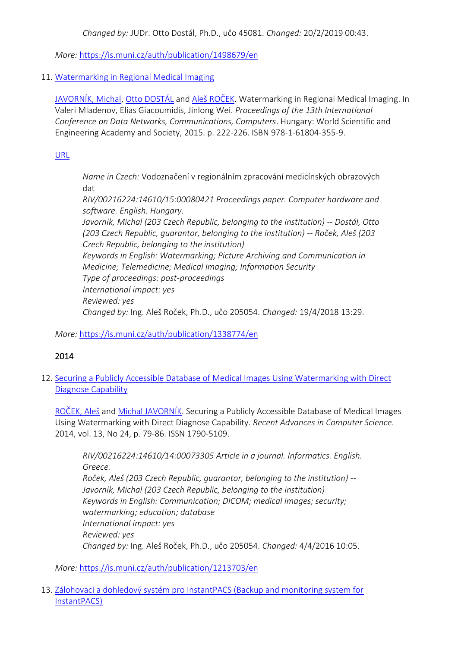*Changed by:* JUDr. Otto Dostál, Ph.D., učo 45081. *Changed:* 20/2/2019 00:43.

*More:* [https://is.muni.cz/auth/publication/1498679/en](https://is.muni.cz/auth/publication/1498679/en/Legislativni-aspekty-dalsiho-rozvoje-v-oblasti-telemediciny/Dostal-Dostal-Javornik?lang=en)

### 11. [Watermarking in Regional Medical Imaging](https://is.muni.cz/auth/publication/1338774/en?lang=en)

[JAVORNÍK, Michal](https://is.muni.cz/auth/person/1111?lang=en), [Otto DOSTÁL](https://is.muni.cz/auth/person/2535?lang=en) and [Aleš ROČEK](https://is.muni.cz/auth/person/205054?lang=en). Watermarking in Regional Medical Imaging. In Valeri Mladenov, Elias Giacoumidis, Jinlong Wei. *Proceedings of the 13th International Conference on Data Networks, Communications, Computers*. Hungary: World Scientific and Engineering Academy and Society, 2015. p. 222-226. ISBN 978-1-61804-355-9.

### [URL](http://www.wseas.us/e-library/conferences/2015/Budapest/DNCOSE/DNCOSE-35.pdf)

*Name in Czech:* Vodoznačení v regionálním zpracování medicínských obrazových dat

*RIV/00216224:14610/15:00080421 Proceedings paper. Computer hardware and software. English. Hungary.*

*Javorník, Michal (203 Czech Republic, belonging to the institution) -- Dostál, Otto (203 Czech Republic, guarantor, belonging to the institution) -- Roček, Aleš (203 Czech Republic, belonging to the institution) Keywords in English: Watermarking; Picture Archiving and Communication in Medicine; Telemedicine; Medical Imaging; Information Security Type of proceedings: post-proceedings International impact: yes Reviewed: yes Changed by:* Ing. Aleš Roček, Ph.D., učo 205054. *Changed:* 19/4/2018 13:29.

## *More:* [https://is.muni.cz/auth/publication/1338774/en](https://is.muni.cz/auth/publication/1338774/en/Watermarking-in-Regional-Medical-Imaging/Javornik-Dostal-Rocek?lang=en)

# 2014

12. [Securing a Publicly Accessible Database of Medical Images Using Watermarking with Direct](https://is.muni.cz/auth/publication/1213703/en?lang=en)  [Diagnose Capability](https://is.muni.cz/auth/publication/1213703/en?lang=en)

[ROČEK, Aleš](https://is.muni.cz/auth/person/205054?lang=en) and [Michal JAVORNÍK](https://is.muni.cz/auth/person/1111?lang=en). Securing a Publicly Accessible Database of Medical Images Using Watermarking with Direct Diagnose Capability. *Recent Advances in Computer Science*. 2014, vol. 13, No 24, p. 79-86. ISSN 1790-5109.

*RIV/00216224:14610/14:00073305 Article in a journal. Informatics. English. Greece. Roček, Aleš (203 Czech Republic, guarantor, belonging to the institution) -- Javorník, Michal (203 Czech Republic, belonging to the institution) Keywords in English: Communication; DICOM; medical images; security; watermarking; education; database International impact: yes Reviewed: yes Changed by:* Ing. Aleš Roček, Ph.D., učo 205054. *Changed:* 4/4/2016 10:05.

*More:* [https://is.muni.cz/auth/publication/1213703/en](https://is.muni.cz/auth/publication/1213703/en/Securing-a-Publicly-Accessible-Database-of-Medical-Images-Using-Watermarking-with-Direct-Diagnose-Capability/Rocek-Javornik?lang=en)

13. [Zálohovací a dohledový systém pro InstantPACS \(Backup and monitoring system for](https://is.muni.cz/auth/publication/1217373/en?lang=en)  [InstantPACS\)](https://is.muni.cz/auth/publication/1217373/en?lang=en)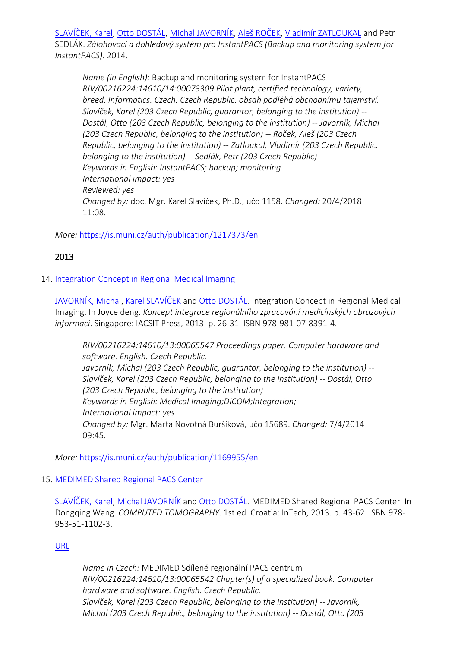SL[AVÍČEK, Karel](https://is.muni.cz/auth/person/1158?lang=en), [Otto DOSTÁL](https://is.muni.cz/auth/person/2535?lang=en), [Michal JAVORNÍK](https://is.muni.cz/auth/person/1111?lang=en), [Aleš ROČEK](https://is.muni.cz/auth/person/205054?lang=en), [Vladimír ZATLOUKAL](https://is.muni.cz/auth/person/1113?lang=en) and Petr SEDLÁK. *Zálohovací a dohledový systém pro InstantPACS (Backup and monitoring system for InstantPACS)*. 2014.

*Name (in English):* Backup and monitoring system for InstantPACS *RIV/00216224:14610/14:00073309 Pilot plant, certified technology, variety, breed. Informatics. Czech. Czech Republic. obsah podléhá obchodnímu tajemství. Slavíček, Karel (203 Czech Republic, guarantor, belonging to the institution) -- Dostál, Otto (203 Czech Republic, belonging to the institution) -- Javorník, Michal (203 Czech Republic, belonging to the institution) -- Roček, Aleš (203 Czech Republic, belonging to the institution) -- Zatloukal, Vladimír (203 Czech Republic, belonging to the institution) -- Sedlák, Petr (203 Czech Republic) Keywords in English: InstantPACS; backup; monitoring International impact: yes Reviewed: yes Changed by:* doc. Mgr. Karel Slavíček, Ph.D., učo 1158. *Changed:* 20/4/2018 11:08.

*More:* [https://is.muni.cz/auth/publication/1217373/en](https://is.muni.cz/auth/publication/1217373/en/Zalohovaci-a-dohledovy-system-pro-InstantPACS/Slavicek-Dostal-Javornik-Rocek?lang=en)

# 2013

### 14. [Integration Concept in Regional Medical Imaging](https://is.muni.cz/auth/publication/1169955/en?lang=en)

[JAVORNÍK, Michal](https://is.muni.cz/auth/person/1111?lang=en), [Karel SLAVÍČEK](https://is.muni.cz/auth/person/1158?lang=en) and [Otto DOSTÁL](https://is.muni.cz/auth/person/2535?lang=en). Integration Concept in Regional Medical Imaging. In Joyce deng. *Koncept integrace regionálního zpracování medicínských obrazových informací*. Singapore: IACSIT Press, 2013. p. 26-31. ISBN 978-981-07-8391-4.

*RIV/00216224:14610/13:00065547 Proceedings paper. Computer hardware and software. English. Czech Republic. Javorník, Michal (203 Czech Republic, guarantor, belonging to the institution) -- Slavíček, Karel (203 Czech Republic, belonging to the institution) -- Dostál, Otto (203 Czech Republic, belonging to the institution) Keywords in English: Medical Imaging;DICOM;Integration; International impact: yes Changed by:* Mgr. Marta Novotná Buršíková, učo 15689. *Changed:* 7/4/2014 09:45.

*More:* [https://is.muni.cz/auth/publication/1169955/en](https://is.muni.cz/auth/publication/1169955/en/Integration-Concept-in-Regional-Medical-Imaging/Javornik-Slavicek-Dostal?lang=en)

### 15. [MEDIMED Shared Regional PACS Center](https://is.muni.cz/auth/publication/1163709/en?lang=en)

[SLAVÍČEK, Karel](https://is.muni.cz/auth/person/1158?lang=en), [Michal JAVORNÍK](https://is.muni.cz/auth/person/1111?lang=en) and [Otto DOSTÁL](https://is.muni.cz/auth/person/2535?lang=en). MEDIMED Shared Regional PACS Center. In Dongqing Wang. *COMPUTED TOMOGRAPHY*. 1st ed. Croatia: InTech, 2013. p. 43-62. ISBN 978- 953-51-1102-3.

### [URL](http://dx.doi.org/10.5772/55904)

*Name in Czech:* MEDIMED Sdílené regionální PACS centrum *RIV/00216224:14610/13:00065542 Chapter(s) of a specialized book. Computer hardware and software. English. Czech Republic. Slavíček, Karel (203 Czech Republic, belonging to the institution) -- Javorník, Michal (203 Czech Republic, belonging to the institution) -- Dostál, Otto (203*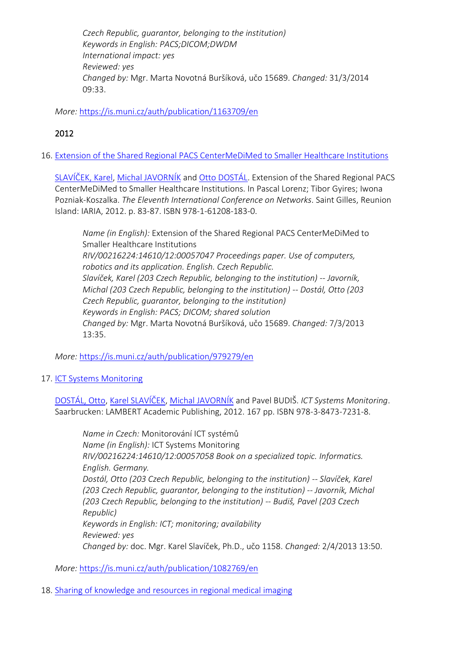*Czech Republic, guarantor, belonging to the institution) Keywords in English: PACS;DICOM;DWDM International impact: yes Reviewed: yes Changed by:* Mgr. Marta Novotná Buršíková, učo 15689. *Changed:* 31/3/2014 09:33.

*More:* [https://is.muni.cz/auth/publication/1163709/en](https://is.muni.cz/auth/publication/1163709/en/MEDIMED-Shared-Regional-PACS-Center/Slavicek-Javornik-Dostal?lang=en)

# 2012

16. [Extension of the Shared Regional PACS CenterMeDiMed to Smaller Healthcare Institutions](https://is.muni.cz/auth/publication/979279/en?lang=en)

[SLAVÍČEK, Karel](https://is.muni.cz/auth/person/1158?lang=en), [Michal JAVORNÍ](https://is.muni.cz/auth/person/1111?lang=en)K and [Otto DOSTÁL](https://is.muni.cz/auth/person/2535?lang=en). Extension of the Shared Regional PACS CenterMeDiMed to Smaller Healthcare Institutions. In Pascal Lorenz; Tibor Gyires; Iwona Pozniak-Koszalka. *The Eleventh International Conference on Networks*. Saint Gilles, Reunion Island: IARIA, 2012. p. 83-87. ISBN 978-1-61208-183-0.

*Name (in English):* Extension of the Shared Regional PACS CenterMeDiMed to Smaller Healthcare Institutions *RIV/00216224:14610/12:00057047 Proceedings paper. Use of computers, robotics and its application. English. Czech Republic. Slavíček, Karel (203 Czech Republic, belonging to the institution) -- Javorník, Michal (203 Czech Republic, belonging to the institution) -- Dostál, Otto (203 Czech Republic, guarantor, belonging to the institution) Keywords in English: PACS; DICOM; shared solution Changed by:* Mgr. Marta Novotná Buršíková, učo 15689. *Changed:* 7/3/2013 13:35.

*More:* [https://is.muni.cz/auth/publication/979279/en](https://is.muni.cz/auth/publication/979279/en/Extension-of-the-Shared-Regional-PACS-CenterMeDiMed-to-Smaller-Healthcare-Institutions/Slavicek-Javornik-Dostal?lang=en)

17. [ICT Systems Monitoring](https://is.muni.cz/auth/publication/1082769/en?lang=en)

[DOSTÁL, Otto](https://is.muni.cz/auth/person/2535?lang=en), [Karel SLAVÍČEK](https://is.muni.cz/auth/person/1158?lang=en), [Michal JAVORNÍK](https://is.muni.cz/auth/person/1111?lang=en) and Pavel BUDIŠ. *ICT Systems Monitoring*. Saarbrucken: LAMBERT Academic Publishing, 2012. 167 pp. ISBN 978-3-8473-7231-8.

*Name in Czech:* Monitorování ICT systémů *Name (in English):* ICT Systems Monitoring *RIV/00216224:14610/12:00057058 Book on a specialized topic. Informatics. English. Germany. Dostál, Otto (203 Czech Republic, belonging to the institution) -- Slavíček, Karel (203 Czech Republic, guarantor, belonging to the institution) -- Javorník, Michal (203 Czech Republic, belonging to the institution) -- Budiš, Pavel (203 Czech Republic) Keywords in English: ICT; monitoring; availability Reviewed: yes Changed by:* doc. Mgr. Karel Slavíček, Ph.D., učo 1158. *Changed:* 2/4/2013 13:50.

*More:* [https://is.muni.cz/auth/publication/1082769/en](https://is.muni.cz/auth/publication/1082769/en/ICT-Systems-Monitoring/Dostal-Slavicek-Javornik-Budis?lang=en)

18. [Sharing of knowledge and resources in regional medical imaging](https://is.muni.cz/auth/publication/1082275/en?lang=en)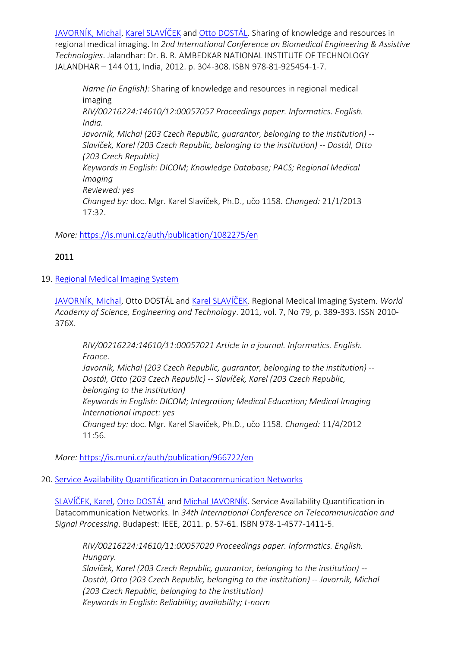[JAVORNÍK, Michal](https://is.muni.cz/auth/person/1111?lang=en), [Karel SLAVÍČEK](https://is.muni.cz/auth/person/1158?lang=en) and [Otto DOSTÁL](https://is.muni.cz/auth/person/2535?lang=en). Sharing of knowledge and resources in regional medical imaging. In *2nd International Conference on Biomedical Engineering & Assistive Technologies*. Jalandhar: Dr. B. R. AMBEDKAR NATIONAL INSTITUTE OF TECHNOLOGY JALANDHAR – 144 011, India, 2012. p. 304-308. ISBN 978-81-925454-1-7.

*Name (in English):* Sharing of knowledge and resources in regional medical imaging *RIV/00216224:14610/12:00057057 Proceedings paper. Informatics. English. India. Javorník, Michal (203 Czech Republic, guarantor, belonging to the institution) -- Slavíček, Karel (203 Czech Republic, belonging to the institution) -- Dostál, Otto (203 Czech Republic) Keywords in English: DICOM; Knowledge Database; PACS; Regional Medical Imaging Reviewed: yes Changed by:* doc. Mgr. Karel Slavíček, Ph.D., učo 1158. *Changed:* 21/1/2013 17:32.

*More:* [https://is.muni.cz/auth/publication/1082275/en](https://is.muni.cz/auth/publication/1082275/en/Sharing-of-knowledge-and-resources-in-regional-medical-imaging/Javornik-Slavicek-Dostal?lang=en)

# 2011

19. [Regional Medical Imaging System](https://is.muni.cz/auth/publication/966722/en?lang=en)

[JAVORNÍK, Michal,](https://is.muni.cz/auth/person/1111?lang=en) Otto DOSTÁL and [Karel SLAVÍČEK](https://is.muni.cz/auth/person/1158?lang=en). Regional Medical Imaging System. *World Academy of Science, Engineering and Technology*. 2011, vol. 7, No 79, p. 389-393. ISSN 2010- 376X.

*RIV/00216224:14610/11:00057021 Article in a journal. Informatics. English. France. Javorník, Michal (203 Czech Republic, guarantor, belonging to the institution) --*

*Dostál, Otto (203 Czech Republic) -- Slavíček, Karel (203 Czech Republic, belonging to the institution) Keywords in English: DICOM; Integration; Medical Education; Medical Imaging International impact: yes Changed by:* doc. Mgr. Karel Slavíček, Ph.D., učo 1158. *Changed:* 11/4/2012 11:56.

*More:* [https://is.muni.cz/auth/publication/966722/en](https://is.muni.cz/auth/publication/966722/en/Regional-Medical-Imaging-System/Javornik-Dostal-Slavicek?lang=en)

### 20. [Service Availability Quantification in Datacommunication Networks](https://is.muni.cz/auth/publication/956951/en?lang=en)

[SLAVÍČEK, Karel](https://is.muni.cz/auth/person/1158?lang=en), Otto [DOSTÁL](https://is.muni.cz/auth/person/2535?lang=en) and [Michal JAVORNÍK](https://is.muni.cz/auth/person/1111?lang=en). Service Availability Quantification in Datacommunication Networks. In *34th International Conference on Telecommunication and Signal Processing*. Budapest: IEEE, 2011. p. 57-61. ISBN 978-1-4577-1411-5.

*RIV/00216224:14610/11:00057020 Proceedings paper. Informatics. English. Hungary.*

*Slavíček, Karel (203 Czech Republic, guarantor, belonging to the institution) -- Dostál, Otto (203 Czech Republic, belonging to the institution) -- Javorník, Michal (203 Czech Republic, belonging to the institution) Keywords in English: Reliability; availability; t-norm*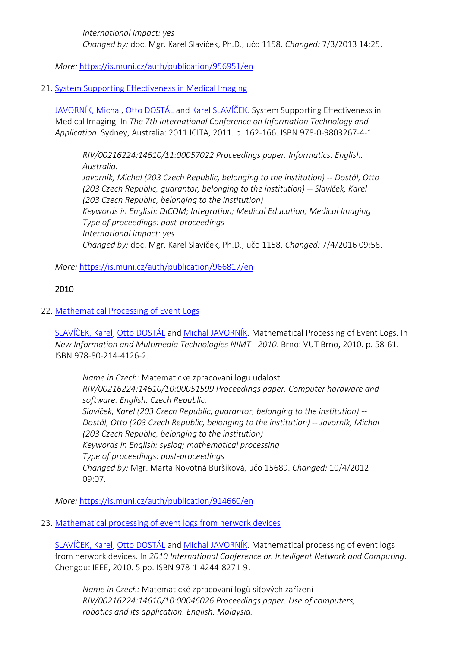*International impact: yes Changed by:* doc. Mgr. Karel Slavíček, Ph.D., učo 1158. *Changed:* 7/3/2013 14:25.

*More:* [https://is.muni.cz/auth/publication/956951/en](https://is.muni.cz/auth/publication/956951/en/Service-Availability-Quantification-in-Datacommunication-Networks/Slavicek-Dostal-Javornik?lang=en)

### 21. [System Supporting Effectiveness in Medical Imaging](https://is.muni.cz/auth/publication/966817/en?lang=en)

[JAVORNÍK, Michal](https://is.muni.cz/auth/person/1111?lang=en), [Otto DOSTÁL](https://is.muni.cz/auth/person/2535?lang=en) and [Karel SLAVÍČEK](https://is.muni.cz/auth/person/1158?lang=en). System Supporting Effectiveness in Medical Imaging. In *The 7th International Conference on Information Technology and Application*. Sydney, Australia: 2011 ICITA, 2011. p. 162-166. ISBN 978-0-9803267-4-1.

*RIV/00216224:14610/11:00057022 Proceedings paper. Informatics. English. Australia. Javorník, Michal (203 Czech Republic, belonging to the institution) -- Dostál, Otto (203 Czech Republic, guarantor, belonging to the institution) -- Slavíček, Karel (203 Czech Republic, belonging to the institution) Keywords in English: DICOM; Integration; Medical Education; Medical Imaging Type of proceedings: post-proceedings International impact: yes Changed by:* doc. Mgr. Karel Slavíček, Ph.D., učo 1158. *Changed:* 7/4/2016 09:58.

*More:* [https://is.muni.cz/auth/publication/966817/en](https://is.muni.cz/auth/publication/966817/en/System-Supporting-Effectiveness-in-Medical-Imaging/Javornik-Dostal-Slavicek?lang=en)

### 2010

### 22. [Mathematical Processing of Event Logs](https://is.muni.cz/auth/publication/914660/en?lang=en)

[SLAVÍČEK, Karel](https://is.muni.cz/auth/person/1158?lang=en), [Otto DOSTÁL](https://is.muni.cz/auth/person/2535?lang=en) and [Michal JAVORNÍK](https://is.muni.cz/auth/person/1111?lang=en). Mathematical Processing of Event Logs. In *New Information and Multimedia Technologies NIMT - 2010*. Brno: VUT Brno, 2010. p. 58-61. ISBN 978-80-214-4126-2.

*Name in Czech:* Matematicke zpracovani logu udalosti *RIV/00216224:14610/10:00051599 Proceedings paper. Computer hardware and software. English. Czech Republic. Slavíček, Karel (203 Czech Republic, guarantor, belonging to the institution) -- Dostál, Otto (203 Czech Republic, belonging to the institution) -- Javorník, Michal (203 Czech Republic, belonging to the institution) Keywords in English: syslog; mathematical processing Type of proceedings: post-proceedings Changed by:* Mgr. Marta Novotná Buršíková, učo 15689. *Changed:* 10/4/2012 09:07.

*More:* [https://is.muni.cz/auth/publication/914660/en](https://is.muni.cz/auth/publication/914660/en/Mathematical-Processing-of-Event-Logs/Slavicek-Dostal-Javornik?lang=en)

### 23. [Mathematical processing of event logs from nerwork devices](https://is.muni.cz/auth/publication/914661/en?lang=en)

[SLAVÍČEK, Karel](https://is.muni.cz/auth/person/1158?lang=en), [Otto DOSTÁL](https://is.muni.cz/auth/person/2535?lang=en) and [Michal JAVORNÍK](https://is.muni.cz/auth/person/1111?lang=en). Mathematical processing of event logs from nerwork devices. In *2010 International Conference on Intelligent Network and Computing*. Chengdu: IEEE, 2010. 5 pp. ISBN 978-1-4244-8271-9.

*Name in Czech:* Matematické zpracování logů síťových zařízení *RIV/00216224:14610/10:00046026 Proceedings paper. Use of computers, robotics and its application. English. Malaysia.*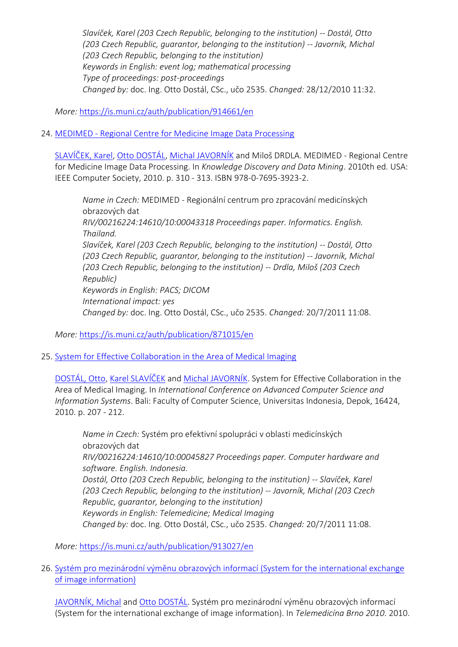*Slavíček, Karel (203 Czech Republic, belonging to the institution) -- Dostál, Otto (203 Czech Republic, guarantor, belonging to the institution) -- Javorník, Michal (203 Czech Republic, belonging to the institution) Keywords in English: event log; mathematical processing Type of proceedings: post-proceedings Changed by:* doc. Ing. Otto Dostál, CSc., učo 2535. *Changed:* 28/12/2010 11:32.

*More:* [https://is.muni.cz/auth/publication/914661/en](https://is.muni.cz/auth/publication/914661/en/Mathematical-processing-of-event-logs-from-nerwork-devices/Slavicek-Dostal-Javornik?lang=en)

24. MEDIMED - [Regional Centre for Medicine Image Data Processing](https://is.muni.cz/auth/publication/871015/en?lang=en)

[SLAVÍČEK, Karel](https://is.muni.cz/auth/person/1158?lang=en), [Otto DOSTÁL](https://is.muni.cz/auth/person/2535?lang=en), [Michal JAVORNÍK](https://is.muni.cz/auth/person/1111?lang=en) and Miloš DRDLA. MEDIMED - Regional Centre for Medicine Image Data Processing. In *Knowledge Discovery and Data Mining*. 2010th ed. USA: IEEE Computer Society, 2010. p. 310 - 313. ISBN 978-0-7695-3923-2.

*Name in Czech:* MEDIMED - Regionální centrum pro zpracování medicínských obrazových dat *RIV/00216224:14610/10:00043318 Proceedings paper. Informatics. English. Thailand. Slavíček, Karel (203 Czech Republic, belonging to the institution) -- Dostál, Otto (203 Czech Republic, guarantor, belonging to the institution) -- Javorník, Michal (203 Czech Republic, belonging to the institution) -- Drdla, Miloš (203 Czech Republic) Keywords in English: PACS; DICOM International impact: yes Changed by:* doc. Ing. Otto Dostál, CSc., učo 2535. *Changed:* 20/7/2011 11:08.

*More:* [https://is.muni.cz/auth/publication/871015/en](https://is.muni.cz/auth/publication/871015/en/MEDIMED-Regional-Centre-for-Medicine-Image-Data-Processing/Slavicek-Dostal-Javornik-Drdla?lang=en)

25. [System for Effective Collaboration in the Area of Medical Imaging](https://is.muni.cz/auth/publication/913027/en?lang=en)

[DOSTÁL, Otto](https://is.muni.cz/auth/person/2535?lang=en), [Karel SLAVÍČEK](https://is.muni.cz/auth/person/1158?lang=en) and [Michal JAVORNÍK](https://is.muni.cz/auth/person/1111?lang=en). System for Effective Collaboration in the Area of Medical Imaging. In *International Conference on Advanced Computer Science and Information Systems*. Bali: Faculty of Computer Science, Universitas Indonesia, Depok, 16424, 2010. p. 207 - 212.

*Name in Czech:* Systém pro efektivní spolupráci v oblasti medicínských obrazových dat *RIV/00216224:14610/10:00045827 Proceedings paper. Computer hardware and software. English. Indonesia. Dostál, Otto (203 Czech Republic, belonging to the institution) -- Slavíček, Karel (203 Czech Republic, belonging to the institution) -- Javorník, Michal (203 Czech Republic, guarantor, belonging to the institution) Keywords in English: Telemedicine; Medical Imaging Changed by:* doc. Ing. Otto Dostál, CSc., učo 2535. *Changed:* 20/7/2011 11:08.

*More:* [https://is.muni.cz/auth/publication/913027/en](https://is.muni.cz/auth/publication/913027/en/System-for-Effective-Collaboration-in-the-Area-of-Medical-Imaging/Dostal-Slavicek-Javornik?lang=en)

26. [Systém pro mezinárodní výměnu obrazových informací \(System for the international exchange](https://is.muni.cz/auth/publication/916524/en?lang=en)  [of image information\)](https://is.muni.cz/auth/publication/916524/en?lang=en)

[JAVORNÍK, Michal](https://is.muni.cz/auth/person/1111?lang=en) and [Otto DOSTÁL](https://is.muni.cz/auth/person/2535?lang=en). Systém pro mezinárodní výměnu obrazových informací (System for the international exchange of image information). In *Telemedicína Brno 2010*. 2010.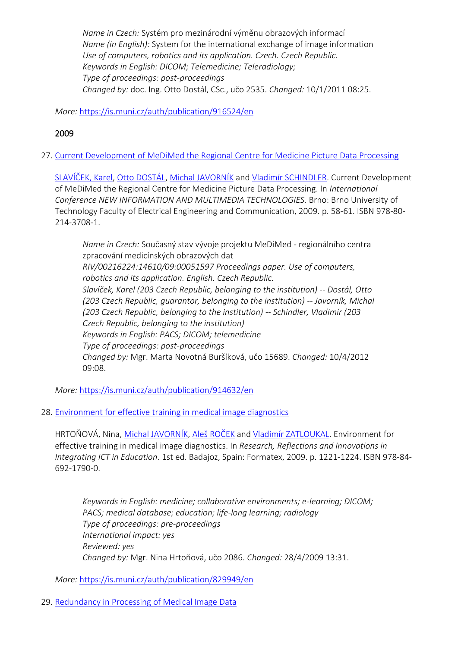*Name in Czech:* Systém pro mezinárodní výměnu obrazových informací *Name (in English):* System for the international exchange of image information *Use of computers, robotics and its application. Czech. Czech Republic. Keywords in English: DICOM; Telemedicine; Teleradiology; Type of proceedings: post-proceedings Changed by:* doc. Ing. Otto Dostál, CSc., učo 2535. *Changed:* 10/1/2011 08:25.

*More:* [https://is.muni.cz/auth/publication/916524/en](https://is.muni.cz/auth/publication/916524/en/System-pro-mezinarodni-vymenu-obrazovych-informaci/Javornik-Dostal?lang=en)

# 2009

27. [Current Development of MeDiMed the Regional Centre for Medicine Picture Data Processing](https://is.muni.cz/auth/publication/914632/en?lang=en)

[SLAVÍČEK, Karel](https://is.muni.cz/auth/person/1158?lang=en), [Otto DOSTÁL](https://is.muni.cz/auth/person/2535?lang=en), [Michal JAVORNÍK](https://is.muni.cz/auth/person/1111?lang=en) and [Vladimír SCHINDLER](https://is.muni.cz/auth/person/160298?lang=en). Current Development of MeDiMed the Regional Centre for Medicine Picture Data Processing. In *International Conference NEW INFORMATION AND MULTIMEDIA TECHNOLOGIES*. Brno: Brno University of Technology Faculty of Electrical Engineering and Communication, 2009. p. 58-61. ISBN 978-80- 214-3708-1.

*Name in Czech:* Současný stav vývoje projektu MeDiMed - regionálního centra zpracování medicínských obrazových dat *RIV/00216224:14610/09:00051597 Proceedings paper. Use of computers, robotics and its application. English. Czech Republic. Slavíček, Karel (203 Czech Republic, belonging to the institution) -- Dostál, Otto (203 Czech Republic, guarantor, belonging to the institution) -- Javorník, Michal (203 Czech Republic, belonging to the institution) -- Schindler, Vladimír (203 Czech Republic, belonging to the institution) Keywords in English: PACS; DICOM; telemedicine Type of proceedings: post-proceedings Changed by:* Mgr. Marta Novotná Buršíková, učo 15689. *Changed:* 10/4/2012 09:08.

*More:* [https://is.muni.cz/auth/publication/914632/en](https://is.muni.cz/auth/publication/914632/en/Current-Development-of-MeDiMed-the-Regional-Centre-for-Medicine-Picture-Data-Processing/Slavicek-Dostal-Javornik-Schindler?lang=en)

28. [Environment for effective training in medical image diagnostics](https://is.muni.cz/auth/publication/829949/en?lang=en)

HRTOŇOVÁ, Nina, [Michal JAVORNÍK](https://is.muni.cz/auth/person/1111?lang=en), [Aleš ROČEK](https://is.muni.cz/auth/person/205054?lang=en) and [Vladimír ZATLOUKAL](https://is.muni.cz/auth/person/1113?lang=en). Environment for effective training in medical image diagnostics. In *Research, Reflections and Innovations in Integrating ICT in Education*. 1st ed. Badajoz, Spain: Formatex, 2009. p. 1221-1224. ISBN 978-84- 692-1790-0.

*Keywords in English: medicine; collaborative environments; e-learning; DICOM; PACS; medical database; education; life-long learning; radiology Type of proceedings: pre-proceedings International impact: yes Reviewed: yes Changed by:* Mgr. Nina Hrtoňová, učo 2086. *Changed:* 28/4/2009 13:31.

*More:* [https://is.muni.cz/auth/publication/829949/en](https://is.muni.cz/auth/publication/829949/en/Environment-for-effective-training-in-medical-image-diagnostics/Hrtonova-Javornik-Rocek-Zatloukal?lang=en)

29. [Redundancy in Processing of Medical Image Data](https://is.muni.cz/auth/publication/872541/en?lang=en)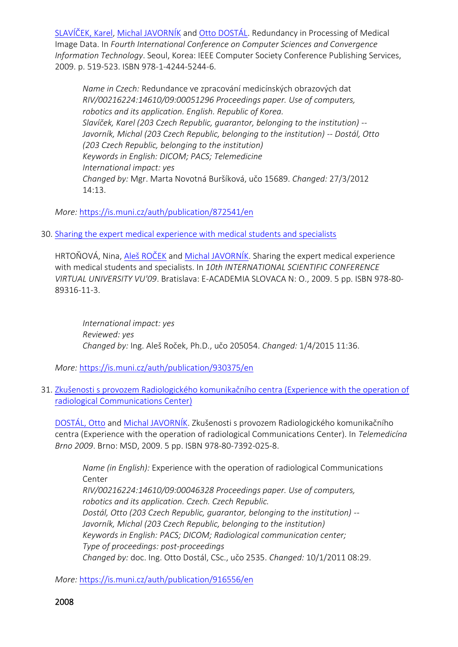[SLAVÍČEK, Karel](https://is.muni.cz/auth/person/1158?lang=en), [Michal JAVORNÍK](https://is.muni.cz/auth/person/1111?lang=en) and [Otto DOSTÁL](https://is.muni.cz/auth/person/2535?lang=en). Redundancy in Processing of Medical Image Data. In *Fourth International Conference on Computer Sciences and Convergence Information Technology*. Seoul, Korea: IEEE Computer Society Conference Publishing Services, 2009. p. 519-523. ISBN 978-1-4244-5244-6.

*Name in Czech:* Redundance ve zpracování medicínských obrazových dat *RIV/00216224:14610/09:00051296 Proceedings paper. Use of computers, robotics and its application. English. Republic of Korea. Slavíček, Karel (203 Czech Republic, guarantor, belonging to the institution) -- Javorník, Michal (203 Czech Republic, belonging to the institution) -- Dostál, Otto (203 Czech Republic, belonging to the institution) Keywords in English: DICOM; PACS; Telemedicine International impact: yes Changed by:* Mgr. Marta Novotná Buršíková, učo 15689. *Changed:* 27/3/2012 14:13.

*More:* [https://is.muni.cz/auth/publication/872541/en](https://is.muni.cz/auth/publication/872541/en/Redundancy-in-Processing-of-Medical-Image-Data/Slavicek-Javornik-Dostal?lang=en)

30. [Sharing the expert medical experience with medical students and specialists](https://is.muni.cz/auth/publication/930375/en?lang=en)

HRTOŇOVÁ, Nina, [Aleš ROČEK](https://is.muni.cz/auth/person/205054?lang=en) and [Michal JAVORNÍK](https://is.muni.cz/auth/person/1111?lang=en). Sharing the expert medical experience with medical students and specialists. In *10th INTERNATIONAL SCIENTIFIC CONFERENCE VIRTUAL UNIVERSITY VU'09*. Bratislava: E-ACADEMIA SLOVACA N: O., 2009. 5 pp. ISBN 978-80- 89316-11-3.

*International impact: yes Reviewed: yes Changed by:* Ing. Aleš Roček, Ph.D., učo 205054. *Changed:* 1/4/2015 11:36.

*More:* [https://is.muni.cz/auth/publication/930375/en](https://is.muni.cz/auth/publication/930375/en/Sharing-the-expert-medical-experience-with-medical-students-and-specialists/Hrtonova-Rocek-Javornik?lang=en)

31. [Zkušenosti s provozem Radiologického komunikačního c](https://is.muni.cz/auth/publication/916556/en?lang=en)entra (Experience with the operation of [radiological Communications Center\)](https://is.muni.cz/auth/publication/916556/en?lang=en)

[DOSTÁL, Otto](https://is.muni.cz/auth/person/2535?lang=en) and [Michal JAVORNÍK.](https://is.muni.cz/auth/person/1111?lang=en) Zkušenosti s provozem Radiologického komunikačního centra (Experience with the operation of radiological Communications Center). In *Telemedicína Brno 2009*. Brno: MSD, 2009. 5 pp. ISBN 978-80-7392-025-8.

*Name (in English):* Experience with the operation of radiological Communications Center

*RIV/00216224:14610/09:00046328 Proceedings paper. Use of computers, robotics and its application. Czech. Czech Republic. Dostál, Otto (203 Czech Republic, guarantor, belonging to the institution) -- Javorník, Michal (203 Czech Republic, belonging to the institution) Keywords in English: PACS; DICOM; Radiological communication center; Type of proceedings: post-proceedings Changed by:* doc. Ing. Otto Dostál, CSc., učo 2535. *Changed:* 10/1/2011 08:29.

*More:* [https://is.muni.cz/auth/publication/916556/en](https://is.muni.cz/auth/publication/916556/en/Zkusenosti-s-provozem-Radiologickeho-komunikacniho-centra/Dostal-Javornik?lang=en)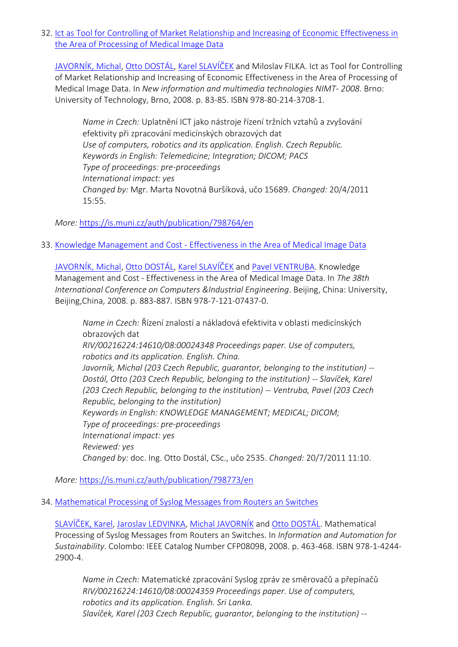32. [Ict as Tool for Controlling of Market Relationship and Increasing of Economic Effectiveness in](https://is.muni.cz/auth/publication/798764/en?lang=en)  [the Area of Processing of Medical Image Data](https://is.muni.cz/auth/publication/798764/en?lang=en)

[JAVORNÍK, Michal](https://is.muni.cz/auth/person/1111?lang=en), Otto [DOSTÁL](https://is.muni.cz/auth/person/2535?lang=en), [Karel SLAVÍČEK](https://is.muni.cz/auth/person/1158?lang=en) and Miloslav FILKA. Ict as Tool for Controlling of Market Relationship and Increasing of Economic Effectiveness in the Area of Processing of Medical Image Data. In *New information and multimedia technologies NIMT- 2008*. Brno: University of Technology, Brno, 2008. p. 83-85. ISBN 978-80-214-3708-1.

*Name in Czech:* Uplatnění ICT jako nástroje řízení tržních vztahů a zvyšování efektivity při zpracování medicínských obrazových dat *Use of computers, robotics and its application. English. Czech Republic. Keywords in English: Telemedicine; Integration; DICOM; PACS Type of proceedings: pre-proceedings International impact: yes Changed by:* Mgr. Marta Novotná Buršíková, učo 15689. *Changed:* 20/4/2011 15:55.

*More:* [https://is.muni.cz/auth/publication/798764/en](https://is.muni.cz/auth/publication/798764/en/Ict-as-Tool-for-Controlling-of-Market-Relationship-and-Increasing-of-Economic-Effectiveness-in-the-Area-of-Processing-of-Medical-Image-Data/Javornik-Dostal-Slavicek-Filka?lang=en)

33. Knowledge Management and Cost - [Effectiveness in the Area of Medical Image Data](https://is.muni.cz/auth/publication/798773/en?lang=en)

[JAVORNÍK, Michal](https://is.muni.cz/auth/person/1111?lang=en), [Otto DOSTÁL](https://is.muni.cz/auth/person/2535?lang=en), [Karel SLAVÍČEK](https://is.muni.cz/auth/person/1158?lang=en) and [Pavel VENTRUBA.](https://is.muni.cz/auth/person/1779?lang=en) Knowledge Management and Cost - Effectiveness in the Area of Medical Image Data. In *The 38th International Conference on Computers &Industrial Engineering*. Beijing, China: University, Beijing,China, 2008. p. 883-887. ISBN 978-7-121-07437-0.

*Name in Czech:* Řízení znalostí a nákladová efektivita v oblasti medicínských obrazových dat *RIV/00216224:14610/08:00024348 Proceedings paper. Use of computers, robotics and its application. English. China. Javorník, Michal (203 Czech Republic, guarantor, belonging to the institution) -- Dostál, Otto (203 Czech Republic, belonging to the institution) -- Slavíček, Karel (203 Czech Republic, belonging to the institution) -- Ventruba, Pavel (203 Czech Republic, belonging to the institution) Keywords in English: KNOWLEDGE MANAGEMENT; MEDICAL; DICOM; Type of proceedings: pre-proceedings International impact: yes Reviewed: yes Changed by:* doc. Ing. Otto Dostál, CSc., učo 2535. *Changed:* 20/7/2011 11:10.

*More:* [https://is.muni.cz/auth/publication/798773/en](https://is.muni.cz/auth/publication/798773/en/Knowledge-Management-and-Cost-Effectiveness-in-the-Area-of-Medical-Image-Data/Javornik-Dostal-Slavicek-Ventruba?lang=en)

34. [Mathematical Processing of Syslog Messages from Routers an Switches](https://is.muni.cz/auth/publication/800275/en?lang=en)

[SLAVÍČEK, Karel](https://is.muni.cz/auth/person/1158?lang=en), [Jaroslav LEDVINKA,](https://is.muni.cz/auth/person/510?lang=en) [Michal JAVORNÍK](https://is.muni.cz/auth/person/1111?lang=en) and [Otto DOSTÁL](https://is.muni.cz/auth/person/2535?lang=en). Mathematical Processing of Syslog Messages from Routers an Switches. In *Information and Automation for Sustainability*. Colombo: IEEE Catalog Number CFP0809B, 2008. p. 463-468. ISBN 978-1-4244- 2900-4.

*Name in Czech:* Matematické zpracování Syslog zpráv ze směrovačů a přepínačů *RIV/00216224:14610/08:00024359 Proceedings paper. Use of computers, robotics and its application. English. Sri Lanka. Slavíček, Karel (203 Czech Republic, guarantor, belonging to the institution) --*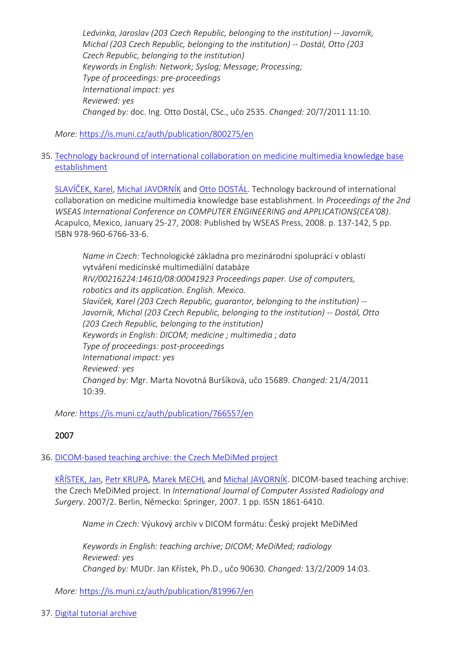*Ledvinka, Jaroslav (203 Czech Republic, belonging to the institution) -- Javorník, Michal (203 Czech Republic, belonging to the institution) -- Dostál, Otto (203 Czech Republic, belonging to the institution) Keywords in English: Network; Syslog; Message; Processing; Type of proceedings: pre-proceedings International impact: yes Reviewed: yes Changed by:* doc. Ing. Otto Dostál, CSc., učo 2535. *Changed:* 20/7/2011 11:10.

*More:* [https://is.muni.cz/auth/publication/800275/en](https://is.muni.cz/auth/publication/800275/en/Mathematical-Processing-of-Syslog-Messages-from-Routers-an-Switches/Slavicek-Ledvinka-Javornik-Dostal?lang=en)

35. [Technology backround of international collaboration on medicine multimedia knowledge base](https://is.muni.cz/auth/publication/766557/en?lang=en)  [establishment](https://is.muni.cz/auth/publication/766557/en?lang=en)

[SLAVÍČEK, Karel](https://is.muni.cz/auth/person/1158?lang=en), [Michal JAVORNÍK](https://is.muni.cz/auth/person/1111?lang=en) and [Otto DOSTÁL](https://is.muni.cz/auth/person/2535?lang=en). Technology backround of international collaboration on medicine multimedia knowledge base establishment. In *Proceedings of the 2nd WSEAS International Conference on COMPUTER ENGINEERING and APPLICATIONS(CEA'08)*. Acapulco, Mexico, January 25-27, 2008: Published by WSEAS Press, 2008. p. 137-142, 5 pp. ISBN 978-960-6766-33-6.

*Name in Czech:* Technologické základna pro mezinárodní spolupráci v oblasti vytváření medicínské multimediální databáze *RIV/00216224:14610/08:00041923 Proceedings paper. Use of computers, robotics and its application. English. Mexico. Slavíček, Karel (203 Czech Republic, guarantor, belonging to the institution) -- Javorník, Michal (203 Czech Republic, belonging to the institution) -- Dostál, Otto (203 Czech Republic, belonging to the institution) Keywords in English: DICOM; medicine ; multimedia ; data Type of proceedings: post-proceedings International impact: yes Reviewed: yes Changed by:* Mgr. Marta Novotná Buršíková, učo 15689. *Changed:* 21/4/2011 10:39.

*More:* [https://is.muni.cz/auth/publication/766557/en](https://is.muni.cz/auth/publication/766557/en/Technology-backround-of-international-collaboration-on-medicine-multimedia-knowledge-base-establishment/Slavicek-Javornik-Dostal?lang=en)

## 2007

## 36. [DICOM-based teaching archive: the Czech MeDiMed project](https://is.muni.cz/auth/publication/819967/en?lang=en)

[KŘÍSTEK, Jan](https://is.muni.cz/auth/person/90630?lang=en), [Petr KRUPA,](https://is.muni.cz/auth/person/2084?lang=en) [Marek MECHL](https://is.muni.cz/auth/person/24004?lang=en) and [Michal JAVORNÍK](https://is.muni.cz/auth/person/1111?lang=en). DICOM-based teaching archive: the Czech MeDiMed project. In *International Journal of Computer Assisted Radiology and Surgery*. 2007/2. Berlin, Německo: Springer, 2007. 1 pp. ISSN 1861-6410.

*Name in Czech:* Výukový archiv v DICOM formátu: Český projekt MeDiMed

*Keywords in English: teaching archive; DICOM; MeDiMed; radiology Reviewed: yes Changed by:* MUDr. Jan Křístek, Ph.D., učo 90630. *Changed:* 13/2/2009 14:03.

*More:* [https://is.muni.cz/auth/publication/819967/en](https://is.muni.cz/auth/publication/819967/en/DICOM-based-teaching-archive-the-Czech-MeDiMed-project/Kristek-Krupa-Mechl-Javornik?lang=en)

37. [Digital tutorial archive](https://is.muni.cz/auth/publication/727882/en?lang=en)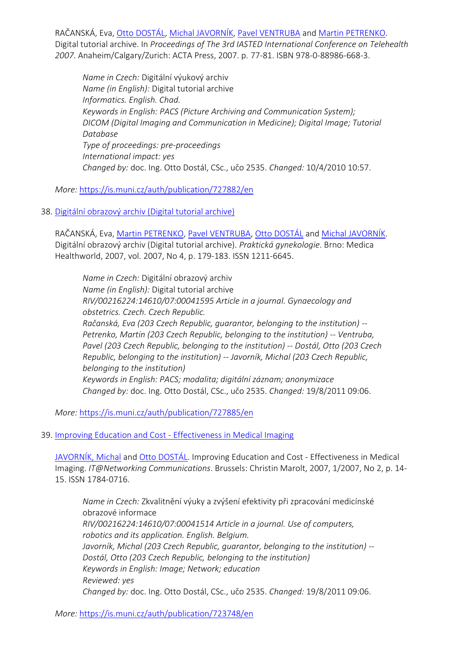RAČANSKÁ, Eva, [Otto DOSTÁL](https://is.muni.cz/auth/person/2535?lang=en), [Michal JAVORNÍK](https://is.muni.cz/auth/person/1111?lang=en), [Pavel VENTRUBA](https://is.muni.cz/auth/person/1779?lang=en) and [Martin PETRENKO.](https://is.muni.cz/auth/person/31215?lang=en) Digital tutorial archive. In *Proceedings of The 3rd IASTED International Conference on Telehealth 2007*. Anaheim/Calgary/Zurich: ACTA Press, 2007. p. 77-81. ISBN 978-0-88986-668-3.

*Name in Czech:* Digitální výukový archiv *Name (in English):* Digital tutorial archive *Informatics. English. Chad. Keywords in English: PACS (Picture Archiving and Communication System); DICOM (Digital Imaging and Communication in Medicine); Digital Image; Tutorial Database Type of proceedings: pre-proceedings International impact: yes Changed by:* doc. Ing. Otto Dostál, CSc., učo 2535. *Changed:* 10/4/2010 10:57.

*More:* [https://is.muni.cz/auth/publication/727882/en](https://is.muni.cz/auth/publication/727882/en/Digital-tutorial-archive/Racanska-Dostal-Javornik-Ventruba?lang=en)

38. [Digitální obrazový archiv \(Digital tutorial archive\)](https://is.muni.cz/auth/publication/727885/en?lang=en)

RAČANSKÁ, Eva, [Martin PETRENKO,](https://is.muni.cz/auth/person/31215?lang=en) [Pavel VENTRUBA,](https://is.muni.cz/auth/person/1779?lang=en) [Otto DOSTÁL](https://is.muni.cz/auth/person/2535?lang=en) and [Michal JAVORNÍK](https://is.muni.cz/auth/person/1111?lang=en). Digitální obrazový archiv (Digital tutorial archive). *Praktická gynekologie*. Brno: Medica Healthworld, 2007, vol. 2007, No 4, p. 179-183. ISSN 1211-6645.

*Name in Czech:* Digitální obrazový archiv *Name (in English):* Digital tutorial archive *RIV/00216224:14610/07:00041595 Article in a journal. Gynaecology and obstetrics. Czech. Czech Republic. Račanská, Eva (203 Czech Republic, guarantor, belonging to the institution) -- Petrenko, Martin (203 Czech Republic, belonging to the institution) -- Ventruba, Pavel (203 Czech Republic, belonging to the institution) -- Dostál, Otto (203 Czech Republic, belonging to the institution) -- Javorník, Michal (203 Czech Republic, belonging to the institution) Keywords in English: PACS; modalita; digitální záznam; anonymizace Changed by:* doc. Ing. Otto Dostál, CSc., učo 2535. *Changed:* 19/8/2011 09:06.

*More:* [https://is.muni.cz/auth/publication/727885/en](https://is.muni.cz/auth/publication/727885/en/Digitalni-obrazovy-archiv/Racanska-Petrenko-Ventruba-Dostal?lang=en)

## 39. Improving Education and Cost - [Effectiveness in Medical Imaging](https://is.muni.cz/auth/publication/723748/en?lang=en)

[JAVORNÍK, Michal](https://is.muni.cz/auth/person/1111?lang=en) and Ot[to DOSTÁL](https://is.muni.cz/auth/person/2535?lang=en). Improving Education and Cost - Effectiveness in Medical Imaging. *IT@Networking Communications*. Brussels: Christin Marolt, 2007, 1/2007, No 2, p. 14- 15. ISSN 1784-0716.

*Name in Czech:* Zkvalitnění výuky a zvýšení efektivity při zpracování medicínské obrazové informace *RIV/00216224:14610/07:00041514 Article in a journal. Use of computers, robotics and its application. English. Belgium. Javorník, Michal (203 Czech Republic, guarantor, belonging to the institution) -- Dostál, Otto (203 Czech Republic, belonging to the institution) Keywords in English: Image; Network; education Reviewed: yes Changed by:* doc. Ing. Otto Dostál, CSc., učo 2535. *Changed:* 19/8/2011 09:06.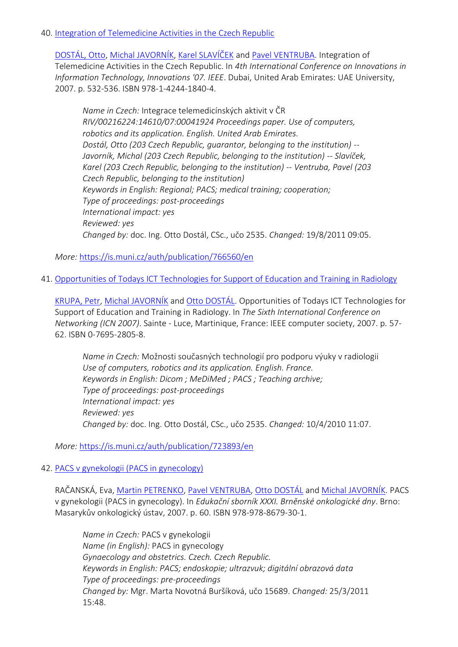#### 40. [Integration of Telemedicine Activities in the Czech Republic](https://is.muni.cz/auth/publication/766560/en?lang=en)

[DOSTÁL, Otto](https://is.muni.cz/auth/person/2535?lang=en), [Michal JAVORNÍK](https://is.muni.cz/auth/person/1111?lang=en), [Karel SLAVÍČEK](https://is.muni.cz/auth/person/1158?lang=en) and [Pavel VENTRUBA.](https://is.muni.cz/auth/person/1779?lang=en) Integration of Telemedicine Activities in the Czech Republic. In *4th International Conference on Innovations in Information Technology, Innovations '07. IEEE*. Dubai, United Arab Emirates: UAE University, 2007. p. 532-536. ISBN 978-1-4244-1840-4.

*Name in Czech:* Integrace telemedicínských aktivit v ČR *RIV/00216224:14610/07:00041924 Proceedings paper. Use of computers, robotics and its application. English. United Arab Emirates. Dostál, Otto (203 Czech Republic, guarantor, belonging to the institution) -- Javorník, Michal (203 Czech Republic, belonging to the institution) -- Slavíček, Karel (203 Czech Republic, belonging to the institution) -- Ventruba, Pavel (203 Czech Republic, belonging to the institution) Keywords in English: Regional; PACS; medical training; cooperation; Type of proceedings: post-proceedings International impact: yes Reviewed: yes Changed by:* doc. Ing. Otto Dostál, CSc., učo 2535. *Changed:* 19/8/2011 09:05.

*More:* [https://is.muni.cz/auth/publication/766560/en](https://is.muni.cz/auth/publication/766560/en/Integration-of-Telemedicine-Activities-in-the-Czech-Republic/Dostal-Javornik-Slavicek-Ventruba?lang=en)

41. [Opportunities of Todays ICT Technologies for Support of Education and Training in Radiology](https://is.muni.cz/auth/publication/723893/en?lang=en)

[KRUPA, Petr,](https://is.muni.cz/auth/person/2084?lang=en) [Michal JAVORNÍK](https://is.muni.cz/auth/person/1111?lang=en) and [Otto DOSTÁL](https://is.muni.cz/auth/person/2535?lang=en). Opportunities of Todays ICT Technologies for Support of Education and Training in Radiology. In *The Sixth International Conference on Networking (ICN 2007)*. Sainte - Luce, Martinique, France: IEEE computer society, 2007. p. 57- 62. ISBN 0-7695-2805-8.

*Name in Czech:* Možnosti současných technologií pro podporu výuky v radiologii *Use of computers, robotics and its application. English. France. Keywords in English: Dicom ; MeDiMed ; PACS ; Teaching archive; Type of proceedings: post-proceedings International impact: yes Reviewed: yes Changed by:* doc. Ing. Otto Dostál, CSc., učo 2535. *Changed:* 10/4/2010 11:07.

*More:* [https://is.muni.cz/auth/publication/723893/en](https://is.muni.cz/auth/publication/723893/en/Opportunities-of-Todays-ICT-Technologies-for-Support-of-Education-and-Training-in-Radiology/Krupa-Javornik-Dostal?lang=en)

### 42. [PACS v gynekologii \(PACS in gynecology\)](https://is.muni.cz/auth/publication/727884/en?lang=en)

RAČANSKÁ, Eva, [Martin PETRENKO,](https://is.muni.cz/auth/person/31215?lang=en) [Pavel VENTRUBA,](https://is.muni.cz/auth/person/1779?lang=en) [Otto DOSTÁL](https://is.muni.cz/auth/person/2535?lang=en) and [Michal JAVORNÍK](https://is.muni.cz/auth/person/1111?lang=en). PACS v gynekologii (PACS in gynecology). In *Edukační sborník XXXI. Brněnské onkologické dny*. Brno: Masarykův onkologický ústav, 2007. p. 60. ISBN 978-978-8679-30-1.

*Name in Czech:* PACS v gynekologii *Name (in English):* PACS in gynecology *Gynaecology and obstetrics. Czech. Czech Republic. Keywords in English: PACS; endoskopie; ultrazvuk; digitální obrazová data Type of proceedings: pre-proceedings Changed by:* Mgr. Marta Novotná Buršíková, učo 15689. *Changed:* 25/3/2011 15:48.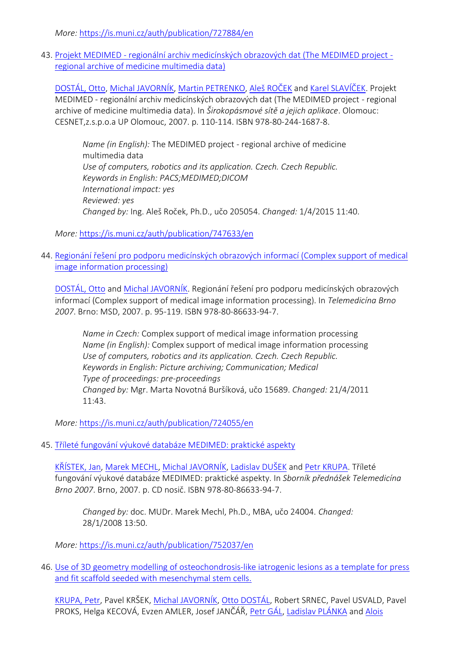*More:* [https://is.muni.cz/auth/publication/727884/en](https://is.muni.cz/auth/publication/727884/en/PACS-v-gynekologii/Racanska-Petrenko-Ventruba-Dostal?lang=en)

43. Projekt MEDIMED - [regionální archiv medicínských obrazových dat \(The MEDIMED project](https://is.muni.cz/auth/publication/747633/en?lang=en)  [regional archive of medicine multimedia data\)](https://is.muni.cz/auth/publication/747633/en?lang=en)

[DOSTÁL, Otto](https://is.muni.cz/auth/person/2535?lang=en), [Michal JAVORNÍK](https://is.muni.cz/auth/person/1111?lang=en), [Martin PETRENKO,](https://is.muni.cz/auth/person/31215?lang=en) [Aleš ROČEK](https://is.muni.cz/auth/person/205054?lang=en) and [Karel SLAVÍČEK](https://is.muni.cz/auth/person/1158?lang=en). Projekt MEDIMED - regionální archiv medicínských obrazových dat (The MEDIMED project - regional archive of medicine multimedia data). In *Širokopásmové sítě a jejich aplikace*. Olomouc: CESNET,z.s.p.o.a UP Olomouc, 2007. p. 110-114. ISBN 978-80-244-1687-8.

*Name (in English):* The MEDIMED project - regional archive of medicine multimedia data *Use of computers, robotics and its application. Czech. Czech Republic. Keywords in English: PACS;MEDIMED;DICOM International impact: yes Reviewed: yes Changed by:* Ing. Aleš Roček, Ph.D., učo 205054. *Changed:* 1/4/2015 11:40.

*More:* [https://is.muni.cz/auth/publication/747633/en](https://is.muni.cz/auth/publication/747633/en/Projekt-MEDIMED-regionalni-archiv-medicinskych-obrazovych-dat/Dostal-Javornik-Petrenko-Rocek?lang=en)

44. [Regionání řešení pro podporu medicínských obrazových informací \(Complex support of medical](https://is.muni.cz/auth/publication/724055/en?lang=en)  [image information processing\)](https://is.muni.cz/auth/publication/724055/en?lang=en)

[DOSTÁL, Otto](https://is.muni.cz/auth/person/2535?lang=en) and [Michal JAVORNÍK.](https://is.muni.cz/auth/person/1111?lang=en) Regionání řešení pro podporu medicínských obrazových informací (Complex support of medical image information processing). In *Telemedicína Brno 2007*. Brno: MSD, 2007. p. 95-119. ISBN 978-80-86633-94-7.

*Name in Czech:* Complex support of medical image information processing *Name (in English):* Complex support of medical image information processing *Use of computers, robotics and its application. Czech. Czech Republic. Keywords in English: Picture archiving; Communication; Medical Type of proceedings: pre-proceedings Changed by:* Mgr. Marta Novotná Buršíková, učo 15689. *Changed:* 21/4/2011 11:43.

*More:* [https://is.muni.cz/auth/publication/724055/en](https://is.muni.cz/auth/publication/724055/en/Regionani-reseni-pro-podporu-medicinskych-obrazovych-informaci/Dostal-Javornik?lang=en)

45. [Tříleté fungování výukové databáze MEDIMED: praktické aspekty](https://is.muni.cz/auth/publication/752037/en?lang=en)

[KŘÍSTEK, Jan](https://is.muni.cz/auth/person/90630?lang=en), [Marek MECHL,](https://is.muni.cz/auth/person/24004?lang=en) [Michal JAVORNÍK](https://is.muni.cz/auth/person/1111?lang=en), [Ladislav DUŠEK](https://is.muni.cz/auth/person/670?lang=en) and [Petr KRUPA](https://is.muni.cz/auth/person/2084?lang=en). Tříleté fungování výukové databáze MEDIMED: praktické aspekty. In *Sborník přednášek Telemedicína Brno 2007*. Brno, 2007. p. CD nosič. ISBN 978-80-86633-94-7.

*Changed by:* doc. MUDr. Marek Mechl, Ph.D., MBA, učo 24004. *Changed:* 28/1/2008 13:50.

*More:* [https://is.muni.cz/auth/publication/752037/en](https://is.muni.cz/auth/publication/752037/en/Trilete-fungovani-vyukove-databaze-MEDIMED-prakticke-aspekty/Kristek-Mechl-Javornik-Dusek?lang=en)

46. [Use of 3D geometry modelling of osteochondrosis-like iatrogenic lesions as a template for press](https://is.muni.cz/auth/publication/771705/en?lang=en)  [and fit scaffold seeded with mesenchymal stem cells.](https://is.muni.cz/auth/publication/771705/en?lang=en)

[KRUPA, Petr](https://is.muni.cz/auth/person/2084?lang=en), Pavel KRŠEK, [Michal JAVORNÍK](https://is.muni.cz/auth/person/1111?lang=en), [Otto DOSTÁL](https://is.muni.cz/auth/person/2535?lang=en), Robert SRNEC, Pavel USVALD, Pavel PROKS, Helga KECOVÁ, Evzen AMLER, Josef JANČÁŘ, [Petr GÁL](https://is.muni.cz/auth/person/1765?lang=en), [Ladislav PLÁNKA](https://is.muni.cz/auth/person/20583?lang=en) and [Alois](https://is.muni.cz/auth/person/24520?lang=en)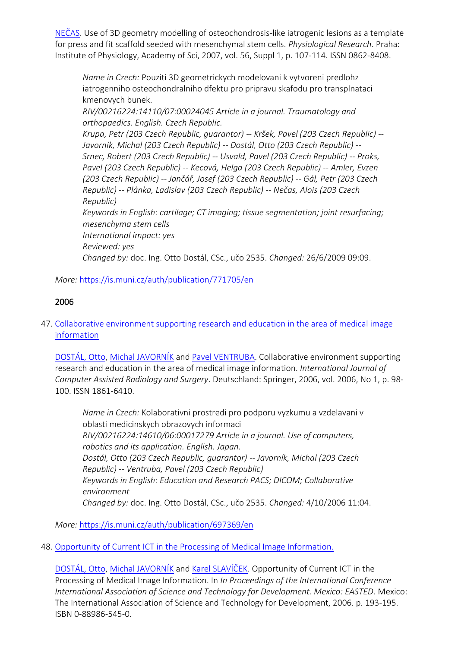[NEČAS](https://is.muni.cz/auth/person/24520?lang=en). Use of 3D geometry modelling of osteochondrosis-like iatrogenic lesions as a template for press and fit scaffold seeded with mesenchymal stem cells. *Physiological Research*. Praha: Institute of Physiology, Academy of Sci, 2007, vol. 56, Suppl 1, p. 107-114. ISSN 0862-8408.

*Name in Czech:* Pouziti 3D geometrickych modelovani k vytvoreni predlohz iatrogenniho osteochondralniho dfektu pro pripravu skafodu pro transplnataci kmenovych bunek.

*RIV/00216224:14110/07:00024045 Article in a journal. Traumatology and orthopaedics. English. Czech Republic.*

*Krupa, Petr (203 Czech Republic, guarantor) -- Kršek, Pavel (203 Czech Republic) -- Javorník, Michal (203 Czech Republic) -- Dostál, Otto (203 Czech Republic) -- Srnec, Robert (203 Czech Republic) -- Usvald, Pavel (203 Czech Republic) -- Proks, Pavel (203 Czech Republic) -- Kecová, Helga (203 Czech Republic) -- Amler, Evzen (203 Czech Republic) -- Jančář, Josef (203 Czech Republic) -- Gál, Petr (203 Czech Republic) -- Plánka, Ladislav (203 Czech Republic) -- Nečas, Alois (203 Czech Republic) Keywords in English: cartilage; CT imaging; tissue segmentation; joint resurfacing; mesenchyma stem cells International impact: yes Reviewed: yes Changed by:* doc. Ing. Otto Dostál, CSc., učo 2535. *Changed:* 26/6/2009 09:09.

*More:* [https://is.muni.cz/auth/publication/771705/en](https://is.muni.cz/auth/publication/771705/en/Use-of-3D-geometry-modelling-of-osteochondrosis-like-iatrogenic-lesions-as-a-template-for-press-and-fit-scaffold-seeded-with-mesenchymal-stem-cells/Krupa-Krsek-Javornik-Dostal?lang=en)

# 2006

47. [Collaborative environment supporting research and education in the area of medical image](https://is.muni.cz/auth/publication/697369/en?lang=en)  [information](https://is.muni.cz/auth/publication/697369/en?lang=en)

[DOSTÁL, Ot](https://is.muni.cz/auth/person/2535?lang=en)to, [Michal JAVORNÍK](https://is.muni.cz/auth/person/1111?lang=en) and [Pavel VENTRUBA.](https://is.muni.cz/auth/person/1779?lang=en) Collaborative environment supporting research and education in the area of medical image information. *International Journal of Computer Assisted Radiology and Surgery*. Deutschland: Springer, 2006, vol. 2006, No 1, p. 98- 100. ISSN 1861-6410.

*Name in Czech:* Kolaborativni prostredi pro podporu vyzkumu a vzdelavani v oblasti medicinskych obrazovych informaci *RIV/00216224:14610/06:00017279 Article in a journal. Use of computers, robotics and its application. English. Japan. Dostál, Otto (203 Czech Republic, guarantor) -- Javorník, Michal (203 Czech Republic) -- Ventruba, Pavel (203 Czech Republic) Keywords in English: Education and Research PACS; DICOM; Collaborative environment Changed by:* doc. Ing. Otto Dostál, CSc., učo 2535. *Changed:* 4/10/2006 11:04.

*More:* [https://is.muni.cz/auth/publication/697369/en](https://is.muni.cz/auth/publication/697369/en/Collaborative-environment-supporting-research-and-education-in-the-area-of-medical-image-information/Dostal-Javornik-Ventruba?lang=en)

## 48. [Opportunity of Current ICT in the Processing of Medical Image Information.](https://is.muni.cz/auth/publication/697444/en?lang=en)

[DOSTÁL, Otto](https://is.muni.cz/auth/person/2535?lang=en), [Michal JAVORNÍK](https://is.muni.cz/auth/person/1111?lang=en) and [Karel SLAVÍČEK](https://is.muni.cz/auth/person/1158?lang=en). Opportunity of Current ICT in the Processing of Medical Image Information. In *In Proceedings of the International Conference International Association of Science and Technology for Development. Mexico: EASTED*. Mexico: The International Association of Science and Technology for Development, 2006. p. 193-195. ISBN 0-88986-545-0.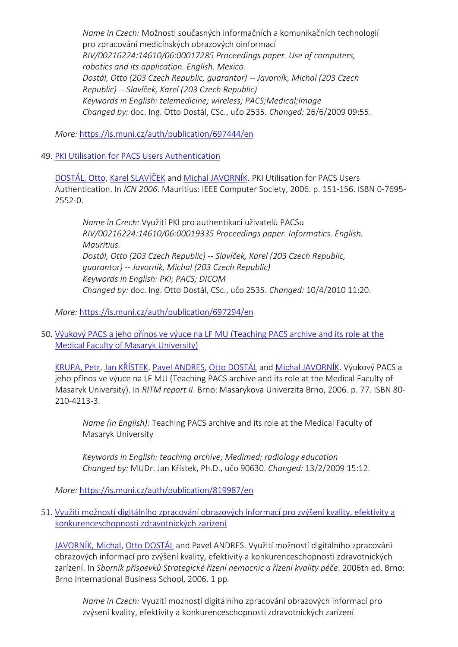*Name in Czech:* Možnosti současných informačních a komunikačních technologií pro zpracování medicínských obrazových oinformací *RIV/00216224:14610/06:00017285 Proceedings paper. Use of computers, robotics and its application. English. Mexico. Dostál, Otto (203 Czech Republic, guarantor) -- Javorník, Michal (203 Czech Republic) -- Slavíček, Karel (203 Czech Republic) Keywords in English: telemedicine; wireless; PACS;Medical;Image Changed by:* doc. Ing. Otto Dostál, CSc., učo 2535. *Changed:* 26/6/2009 09:55.

*More:* [https://is.muni.cz/auth/publication/697444/en](https://is.muni.cz/auth/publication/697444/en/Opportunity-of-Current-ICT-in-the-Processing-of-Medical-Image-Information/Dostal-Javornik-Slavicek?lang=en)

49. [PKI Utilisation for PACS Users Authentication](https://is.muni.cz/auth/publication/697294/en?lang=en)

[DOSTÁL, Otto](https://is.muni.cz/auth/person/2535?lang=en), [Karel SLAVÍČEK](https://is.muni.cz/auth/person/1158?lang=en) and [Michal JAVORNÍK](https://is.muni.cz/auth/person/1111?lang=en). PKI Utilisation for PACS Users Authentication. In *ICN 2006*. Mauritius: IEEE Computer Society, 2006. p. 151-156. ISBN 0-7695- 2552-0.

*Name in Czech:* Využití PKI pro authentikaci uživatelů PACSu *RIV/00216224:14610/06:00019335 Proceedings paper. Informatics. English. Mauritius. Dostál, Otto (203 Czech Republic) -- Slavíček, Karel (203 Czech Republic, guarantor) -- Javorník, Michal (203 Czech Republic) Keywords in English: PKI; PACS; DICOM Changed by:* doc. Ing. Otto Dostál, CSc., učo 2535. *Changed:* 10/4/2010 11:20.

*More:* [https://is.muni.cz/auth/publication/697294/en](https://is.muni.cz/auth/publication/697294/en/PKI-Utilisation-for-PACS-Users-Authentication/Dostal-Slavicek-Javornik?lang=en)

50. [Výukový PACS a jeho přínos ve výuce na LF MU \(Teaching PACS archive and its role at the](https://is.muni.cz/auth/publication/819987/en?lang=en)  [Medical Faculty of Masaryk University\)](https://is.muni.cz/auth/publication/819987/en?lang=en)

[KRUPA, Petr,](https://is.muni.cz/auth/person/2084?lang=en) [Jan KŘÍSTEK](https://is.muni.cz/auth/person/90630?lang=en), [Pavel ANDRES,](https://is.muni.cz/auth/person/96602?lang=en) Ott[o DOSTÁL](https://is.muni.cz/auth/person/2535?lang=en) and [Michal JAVORNÍK.](https://is.muni.cz/auth/person/1111?lang=en) Výukový PACS a jeho přínos ve výuce na LF MU (Teaching PACS archive and its role at the Medical Faculty of Masaryk University). In *RITM report II*. Brno: Masarykova Univerzita Brno, 2006. p. 77. ISBN 80- 210-4213-3.

*Name (in English):* Teaching PACS archive and its role at the Medical Faculty of Masaryk University

*Keywords in English: teaching archive; Medimed; radiology education Changed by:* MUDr. Jan Křístek, Ph.D., učo 90630. *Changed:* 13/2/2009 15:12.

*More:* [https://is.muni.cz/auth/publication/819987/en](https://is.muni.cz/auth/publication/819987/en/Vyukovy-PACS-a-jeho-prinos-ve-vyuce-na-LF-MU/Krupa-Kristek-Andres-Dostal?lang=en)

51. [Využití možností digitálního zpracování obrazových informací pro zvýšení kvality, efektivity a](https://is.muni.cz/auth/publication/697445/en?lang=en)  [konkurenceschopnosti zdravotnických zarízení](https://is.muni.cz/auth/publication/697445/en?lang=en)

[JAVORNÍK, Michal](https://is.muni.cz/auth/person/1111?lang=en), [Otto DOSTÁL](https://is.muni.cz/auth/person/2535?lang=en) and Pavel ANDRES. Využití možností digitálního zpracování obrazových informací pro zvýšení kvality, efektivity a konkurenceschopnosti zdravotnických zarízení. In *Sborník příspevků Strategické řízení nemocnic a řízení kvality péče*. 2006th ed. Brno: Brno International Business School, 2006. 1 pp.

*Name in Czech:* Vyuzití mozností digitálního zpracování obrazových informací pro zvýsení kvality, efektivity a konkurenceschopnosti zdravotnických zarízení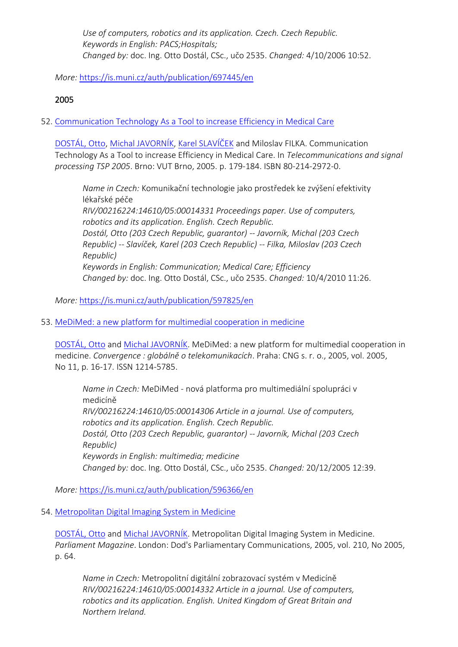*Use of computers, robotics and its application. Czech. Czech Republic. Keywords in English: PACS;Hospitals; Changed by:* doc. Ing. Otto Dostál, CSc., učo 2535. *Changed:* 4/10/2006 10:52.

*More:* [https://is.muni.cz/auth/publication/697445/en](https://is.muni.cz/auth/publication/697445/en/Vyuziti-moznosti-digitalniho-zpracovani-obrazovych-informaci-pro-zvyseni-kvality-efektivity-a-konkurenceschopnosti-zdravotnickych-zarizeni/Javornik-Dostal-Andres?lang=en)

# 2005

52. [Communication Technology As a Tool to increase Efficiency in Medical Care](https://is.muni.cz/auth/publication/597825/en?lang=en)

[DOSTÁL, Otto](https://is.muni.cz/auth/person/2535?lang=en), [Michal JAVORNÍK](https://is.muni.cz/auth/person/1111?lang=en), [Karel SLAVÍČEK](https://is.muni.cz/auth/person/1158?lang=en) and Miloslav FILKA. Communication Technology As a Tool to increase Efficiency in Medical Care. In *Telecommunications and signal processing TSP 2005*. Brno: VUT Brno, 2005. p. 179-184. ISBN 80-214-2972-0.

*Name in Czech:* Komunikační technologie jako prostředek ke zvýšení efektivity lékařské péče

*RIV/00216224:14610/05:00014331 Proceedings paper. Use of computers, robotics and its application. English. Czech Republic. Dostál, Otto (203 Czech Republic, guarantor) -- Javorník, Michal (203 Czech Republic) -- Slavíček, Karel (203 Czech Republic) -- Filka, Miloslav (203 Czech Republic) Keywords in English: Communication; Medical Care; Efficiency Changed by:* doc. Ing. Otto Dostál, CSc., učo 2535. *Changed:* 10/4/2010 11:26.

*More:* [https://is.muni.cz/auth/publication/597825/en](https://is.muni.cz/auth/publication/597825/en/Communication-Technology-As-a-Tool-to-increase-Efficiency-in-Medical-Care/Dostal-Javornik-Slavicek-Filka?lang=en)

53. [MeDiMed: a new platform for multimedial cooperation in medicine](https://is.muni.cz/auth/publication/596366/en?lang=en)

[DOSTÁL, Otto](https://is.muni.cz/auth/person/2535?lang=en) and [Michal JAVORNÍK](https://is.muni.cz/auth/person/1111?lang=en). MeDiMed: a new platform for multimedial cooperation in medicine. *Convergence : globálně o telekomunikacích*. Praha: CNG s. r. o., 2005, vol. 2005, No 11, p. 16-17. ISSN 1214-5785.

*Name in Czech:* MeDiMed - nová platforma pro multimediální spolupráci v medicíně *RIV/00216224:14610/05:00014306 Article in a journal. Use of computers, robotics and its application. English. Czech Republic. Dostál, Otto (203 Czech Republic, guarantor) -- Javorník, Michal (203 Czech Republic) Keywords in English: multimedia; medicine Changed by:* doc. Ing. Otto Dostál, CSc., učo 2535. *Changed:* 20/12/2005 12:39.

*More:* [https://is.muni.cz/auth/publication/596366/en](https://is.muni.cz/auth/publication/596366/en/MeDiMed-a-new-platform-for-multimedial-cooperation-in-medicine/Dostal-Javornik?lang=en)

54. [Metropolitan Digital Imaging System in Medicine](https://is.muni.cz/auth/publication/597884/en?lang=en)

[DOSTÁL, Otto](https://is.muni.cz/auth/person/2535?lang=en) and [Michal JAVORNÍK](https://is.muni.cz/auth/person/1111?lang=en). Metropolitan Digital Imaging System in Medicine. *Parliament Magazine*. London: Dod's Parliamentary Communications, 2005, vol. 210, No 2005, p. 64.

*Name in Czech:* Metropolitní digitální zobrazovací systém v Medicíně *RIV/00216224:14610/05:00014332 Article in a journal. Use of computers, robotics and its application. English. United Kingdom of Great Britain and Northern Ireland.*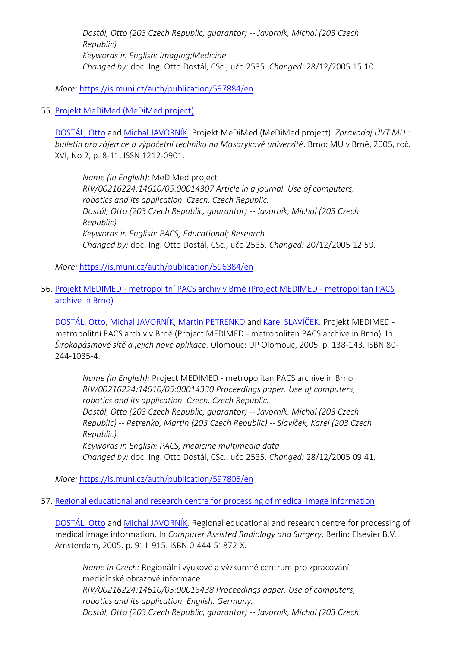*Dostál, Otto (203 Czech Republic, guarantor) -- Javorník, Michal (203 Czech Republic) Keywords in English: Imaging;Medicine Changed by:* doc. Ing. Otto Dostál, CSc., učo 2535. *Changed:* 28/12/2005 15:10.

*More:* [https://is.muni.cz/auth/publication/597884/en](https://is.muni.cz/auth/publication/597884/en/Metropolitan-Digital-Imaging-System-in-Medicine/Dostal-Javornik?lang=en)

#### 55. [Projekt MeDiMed \(MeDiMed project\)](https://is.muni.cz/auth/publication/596384/en?lang=en)

[DOSTÁL, Otto](https://is.muni.cz/auth/person/2535?lang=en) and [Michal JAVORNÍK](https://is.muni.cz/auth/person/1111?lang=en). Projekt MeDiMed (MeDiMed project). *Zpravodaj ÚVT MU : bulletin pro zájemce o výpočetní techniku na Masarykově univerzitě*. Brno: MU v Brně, 2005, roč. XVI, No 2, p. 8-11. ISSN 1212-0901.

*Name (in English):* MeDiMed project *RIV/00216224:14610/05:00014307 Article in a journal. Use of computers, robotics and its application. Czech. Czech Republic. Dostál, Otto (203 Czech Republic, guarantor) -- Javorník, Michal (203 Czech Republic) Keywords in English: PACS; Educational; Research Changed by:* doc. Ing. Otto Dostál, CSc., učo 2535. *Changed:* 20/12/2005 12:59.

*More:* [https://is.muni.cz/auth/publication/596384/en](https://is.muni.cz/auth/publication/596384/en/Projekt-MeDiMed/Dostal-Javornik?lang=en)

#### 56. Projekt MEDIMED - [metropolitní PACS archiv v Brně \(Project MEDIMED](https://is.muni.cz/auth/publication/597805/en?lang=en) - metropolitan PACS [archive in Brno\)](https://is.muni.cz/auth/publication/597805/en?lang=en)

[DOSTÁL, Otto](https://is.muni.cz/auth/person/2535?lang=en), [Michal JAVORNÍK](https://is.muni.cz/auth/person/1111?lang=en), [Martin PETRENKO](https://is.muni.cz/auth/person/31215?lang=en) and [Karel SLAVÍČEK](https://is.muni.cz/auth/person/1158?lang=en). Projekt MEDIMED metropolitní PACS archiv v Brně (Project MEDIMED - metropolitan PACS archive in Brno). In *Širokopásmové sítě a jejich nové aplikace*. Olomouc: UP Olomouc, 2005. p. 138-143. ISBN 80- 244-1035-4.

*Name (in English):* Project MEDIMED - metropolitan PACS archive in Brno *RIV/00216224:14610/05:00014330 Proceedings paper. Use of computers, robotics and its application. Czech. Czech Republic. Dostál, Otto (203 Czech Republic, guarantor) -- Javorník, Michal (203 Czech Republic) -- Petrenko, Martin (203 Czech Republic) -- Slavíček, Karel (203 Czech Republic) Keywords in English: PACS; medicine multimedia data Changed by:* doc. Ing. Otto Dostál, CSc., učo 2535. *Changed:* 28/12/2005 09:41.

*More:* [https://is.muni.cz/auth/publication/597805/en](https://is.muni.cz/auth/publication/597805/en/Projekt-MEDIMED-metropolitni-PACS-archiv-v-Brne/Dostal-Javornik-Petrenko-Slavicek?lang=en)

57. [Regional educational and research centre for processing of medical image information](https://is.muni.cz/auth/publication/596705/en?lang=en)

[DOSTÁL, Otto](https://is.muni.cz/auth/person/2535?lang=en) and [Michal JAVORNÍK](https://is.muni.cz/auth/person/1111?lang=en). Regional educational and research centre for processing of medical image information. In *Computer Assisted Radiology and Surgery*. Berlin: Elsevier B.V., Amsterdam, 2005. p. 911-915. ISBN 0-444-51872-X.

*Name in Czech:* Regionální výukové a výzkumné centrum pro zpracování medicínské obrazové informace *RIV/00216224:14610/05:00013438 Proceedings paper. Use of computers, robotics and its application. English. Germany. Dostál, Otto (203 Czech Republic, guarantor) -- Javorník, Michal (203 Czech*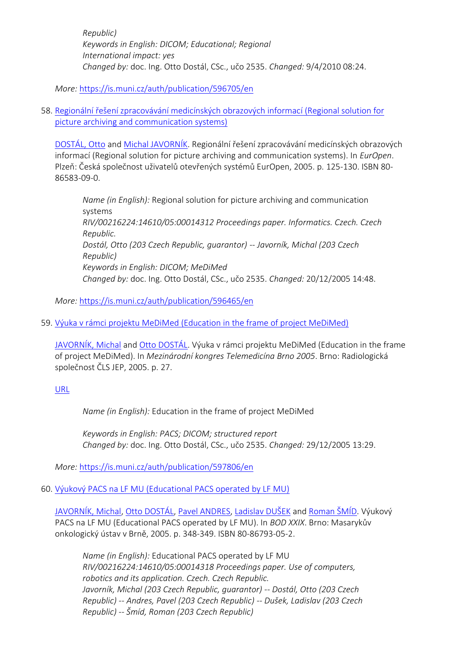*Republic) Keywords in English: DICOM; Educational; Regional International impact: yes Changed by:* doc. Ing. Otto Dostál, CSc., učo 2535. *Changed:* 9/4/2010 08:24.

*More:* [https://is.muni.cz/auth/publication/596705/en](https://is.muni.cz/auth/publication/596705/en/Regional-educational-and-research-centre-for-processing-of-medical-image-information/Dostal-Javornik?lang=en)

58. [Regionální řešení zpracovávání medicínských obrazových informací \(Regional solution for](https://is.muni.cz/auth/publication/596465/en?lang=en)  [picture archiving and communication systems\)](https://is.muni.cz/auth/publication/596465/en?lang=en)

[DOSTÁL, Otto](https://is.muni.cz/auth/person/2535?lang=en) and [Michal JAVORNÍK.](https://is.muni.cz/auth/person/1111?lang=en) Regionální řešení zpracovávání medicínských obrazových informací (Regional solution for picture archiving and communication systems). In *EurOpen*. Plzeň: Česká společnost uživatelů otevřených systémů EurOpen, 2005. p. 125-130. ISBN 80- 86583-09-0.

*Name (in English):* Regional solution for picture archiving and communication systems *RIV/00216224:14610/05:00014312 Proceedings paper. Informatics. Czech. Czech Republic. Dostál, Otto (203 Czech Republic, guarantor) -- Javorník, Michal (203 Czech Republic) Keywords in English: DICOM; MeDiMed Changed by:* doc. Ing. Otto Dostál, CSc., učo 2535. *Changed:* 20/12/2005 14:48.

*More:* [https://is.muni.cz/auth/publication/596465/en](https://is.muni.cz/auth/publication/596465/en/Regionalni-reseni-zpracovavani-medicinskych-obrazovych-informaci/Dostal-Javornik?lang=en)

59. [Výuka v rámci projektu MeDiMed \(Education in the frame of project MeDiMed\)](https://is.muni.cz/auth/publication/597806/en?lang=en)

[JAVORNÍK, Michal](https://is.muni.cz/auth/person/1111?lang=en) and [Otto DOSTÁL.](https://is.muni.cz/auth/person/2535?lang=en) Výuka v rámci projektu MeDiMed (Education in the frame of project MeDiMed). In *Mezinárodní kongres Telemedicína Brno 2005*. Brno: Radiologická společnost ČLS JEP, 2005. p. 27.

[URL](http://www.symma.cz/)

*Name (in English):* Education in the frame of project MeDiMed

*Keywords in English: PACS; DICOM; structured report Changed by:* doc. Ing. Otto Dostál, CSc., učo 2535. *Changed:* 29/12/2005 13:29.

*More:* [https://is.muni.cz/auth/publication/597806/en](https://is.muni.cz/auth/publication/597806/en/Vyuka-v-ramci-projektu-MeDiMed/Javornik-Dostal?lang=en)

60. [Výukový PACS na LF MU \(Educational PACS operated by LF MU\)](https://is.muni.cz/auth/publication/597164/en?lang=en)

[JAVORNÍK, Michal](https://is.muni.cz/auth/person/1111?lang=en), [Otto DOSTÁL](https://is.muni.cz/auth/person/2535?lang=en), [Pavel ANDRES,](https://is.muni.cz/auth/person/96602?lang=en) [Ladislav DUŠEK](https://is.muni.cz/auth/person/670?lang=en) and [Roman ŠMÍD.](https://is.muni.cz/auth/person/3993?lang=en) Výukový PACS na LF MU (Educational PACS operated by LF MU). In *BOD XXIX*. Brno: Masarykův onkologický ústav v Brně, 2005. p. 348-349. ISBN 80-86793-05-2.

*Name (in English):* Educational PACS operated by LF MU *RIV/00216224:14610/05:00014318 Proceedings paper. Use of computers, robotics and its application. Czech. Czech Republic. Javorník, Michal (203 Czech Republic, guarantor) -- Dostál, Otto (203 Czech Republic) -- Andres, Pavel (203 Czech Republic) -- Dušek, Ladislav (203 Czech Republic) -- Šmíd, Roman (203 Czech Republic)*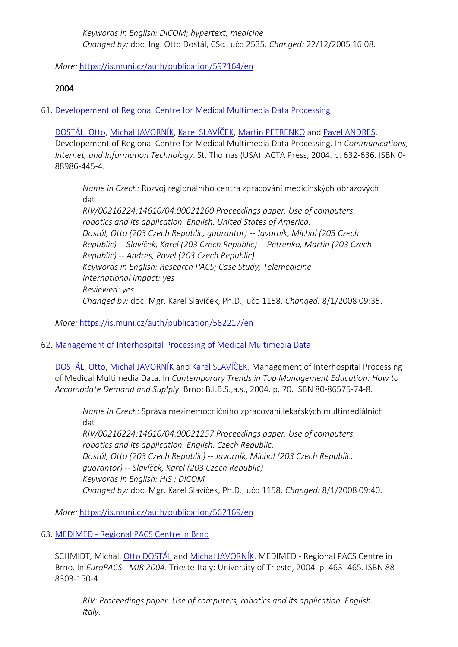*Keywords in English: DICOM; hypertext; medicine Changed by:* doc. Ing. Otto Dostál, CSc., učo 2535. *Changed:* 22/12/2005 16:08.

*More:* [https://is.muni.cz/auth/publication/597164/en](https://is.muni.cz/auth/publication/597164/en/Vyukovy-PACS-na-LF-MU/Javornik-Dostal-Andres-Dusek?lang=en)

### 2004

61. [Developement of Regional Centre for Medical Multimedia Data Processing](https://is.muni.cz/auth/publication/562217/en?lang=en)

[DOSTÁL, Otto](https://is.muni.cz/auth/person/2535?lang=en), [Michal JAVORNÍK](https://is.muni.cz/auth/person/1111?lang=en), [Karel SLAVÍČEK](https://is.muni.cz/auth/person/1158?lang=en), [Martin PETRENKO](https://is.muni.cz/auth/person/31215?lang=en) and [Pavel ANDRES.](https://is.muni.cz/auth/person/96602?lang=en) Developement of Regional Centre for Medical Multimedia Data Processing. In *Communications, Internet, and Information Technology*. St. Thomas (USA): ACTA Press, 2004. p. 632-636. ISBN 0- 88986-445-4.

*Name in Czech:* Rozvoj regionálního centra zpracování medicínských obrazových dat

*RIV/00216224:14610/04:00021260 Proceedings paper. Use of computers, robotics and its application. English. United States of America. Dostál, Otto (203 Czech Republic, guarantor) -- Javorník, Michal (203 Czech Republic) -- Slavíček, Karel (203 Czech Republic) -- Petrenko, Martin (203 Czech Republic) -- Andres, Pavel (203 Czech Republic) Keywords in English: Research PACS; Case Study; Telemedicine International impact: yes Reviewed: yes Changed by:* doc. Mgr. Karel Slavíček, Ph.D., učo 1158. *Changed:* 8/1/2008 09:35.

*More:* [https://is.muni.cz/auth/publication/562217/en](https://is.muni.cz/auth/publication/562217/en/Developement-of-Regional-Centre-for-Medical-Multimedia-Data-Processing/Dostal-Javornik-Slavicek-Petrenko?lang=en)

62. [Management of Interhospital Processing of Medical Multimedia Data](https://is.muni.cz/auth/publication/562169/en?lang=en)

[DOSTÁL, Otto](https://is.muni.cz/auth/person/2535?lang=en), [Michal JAVORNÍK](https://is.muni.cz/auth/person/1111?lang=en) and [Karel SLAVÍČEK](https://is.muni.cz/auth/person/1158?lang=en). Management of Interhospital Processing of Medical Multimedia Data. In *Contemporary Trends in Top Management Education: How to Accomodate Demand and Suplply*. Brno: B.I.B.S.,a.s., 2004. p. 70. ISBN 80-86575-74-8.

*Name in Czech:* Správa mezinemocničního zpracování lékařských multimediálních dat *RIV/00216224:14610/04:00021257 Proceedings paper. Use of computers, robotics and its application. English. Czech Republic. Dostál, Otto (203 Czech Republic) -- Javorník, Michal (203 Czech Republic, guarantor) -- Slavíček, Karel (203 Czech Republic) Keywords in English: HIS ; DICOM Changed by:* doc. Mgr. Karel Slavíček, Ph.D., učo 1158. *Changed:* 8/1/2008 09:40.

*More:* [https://is.muni.cz/auth/publication/562169/en](https://is.muni.cz/auth/publication/562169/en/Management-of-Interhospital-Processing-of-Medical-Multimedia-Data/Dostal-Javornik-Slavicek?lang=en)

63. MEDIMED - [Regional PACS Centre in Brno](https://is.muni.cz/auth/publication/562151/en?lang=en)

SCHMIDT, Michal, [Otto DOSTÁL](https://is.muni.cz/auth/person/2535?lang=en) and [Michal JAVORNÍK](https://is.muni.cz/auth/person/1111?lang=en). MEDIMED - Regional PACS Centre in Brno. In *EuroPACS - MIR 2004*. Trieste-Italy: University of Trieste, 2004. p. 463 -465. ISBN 88- 8303-150-4.

*RIV: Proceedings paper. Use of computers, robotics and its application. English. Italy.*